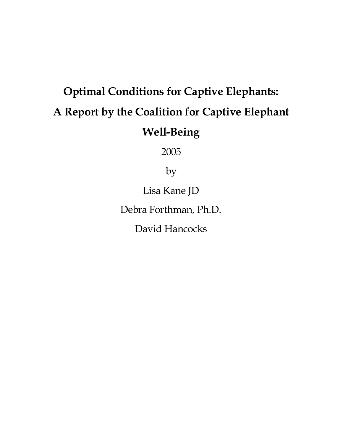# **Optimal Conditions for Captive Elephants: A Report by the Coalition for Captive Elephant Well-Being**

2005

by

Lisa Kane JD

Debra Forthman, Ph.D.

David Hancocks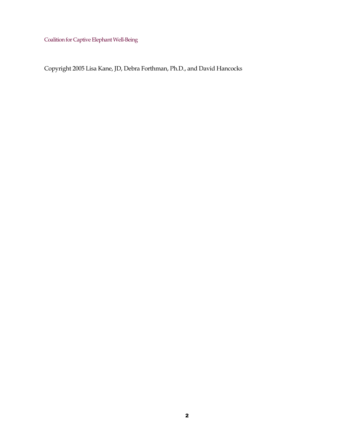Copyright 2005 Lisa Kane, JD, Debra Forthman, Ph.D., and David Hancocks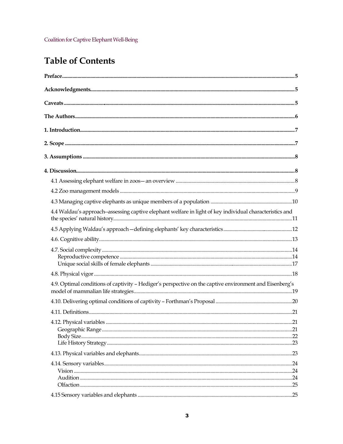## **Table of Contents**

| 4.4 Waldau's approach--assessing captive elephant welfare in light of key individual characteristics and |     |
|----------------------------------------------------------------------------------------------------------|-----|
|                                                                                                          |     |
|                                                                                                          |     |
|                                                                                                          |     |
|                                                                                                          |     |
| 4.9. Optimal conditions of captivity - Hediger's perspective on the captive environment and Eisenberg's  |     |
|                                                                                                          |     |
|                                                                                                          |     |
| 4.12. Physical variables                                                                                 | .21 |
|                                                                                                          |     |
|                                                                                                          |     |
|                                                                                                          |     |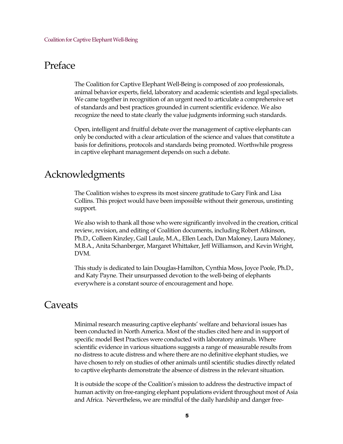## <span id="page-4-0"></span>Preface

The Coalition for Captive Elephant Well-Being is composed of zoo professionals, animal behavior experts, field, laboratory and academic scientists and legal specialists. We came together in recognition of an urgent need to articulate a comprehensive set of standards and best practices grounded in current scientific evidence. We also recognize the need to state clearly the value judgments informing such standards.

Open, intelligent and fruitful debate over the management of captive elephants can only be conducted with a clear articulation of the science and values that constitute a basis for definitions, protocols and standards being promoted. Worthwhile progress in captive elephant management depends on such a debate.

## <span id="page-4-1"></span>Acknowledgments

The Coalition wishes to express its most sincere gratitude to Gary Fink and Lisa Collins. This project would have been impossible without their generous, unstinting support.

We also wish to thank all those who were significantly involved in the creation, critical review, revision, and editing of Coalition documents, including Robert Atkinson, Ph.D., Colleen Kinzley, Gail Laule, M.A., Ellen Leach, Dan Maloney, Laura Maloney, M.B.A., Anita Schanberger, Margaret Whittaker, Jeff Williamson, and Kevin Wright, DVM.

This study is dedicated to Iain Douglas-Hamilton, Cynthia Moss, Joyce Poole, Ph.D., and Katy Payne. Their unsurpassed devotion to the well-being of elephants everywhere is a constant source of encouragement and hope.

## <span id="page-4-2"></span>**Caveats**

Minimal research measuring captive elephants' welfare and behavioral issues has been conducted in North America. Most of the studies cited here and in support of specific model Best Practices were conducted with laboratory animals. Where scientific evidence in various situations suggests a range of measurable results from no distress to acute distress and where there are no definitive elephant studies, we have chosen to rely on studies of other animals until scientific studies directly related to captive elephants demonstrate the absence of distress in the relevant situation.

It is outside the scope of the Coalition's mission to address the destructive impact of human activity on free-ranging elephant populations evident throughout most of Asia and Africa. Nevertheless, we are mindful of the daily hardship and danger free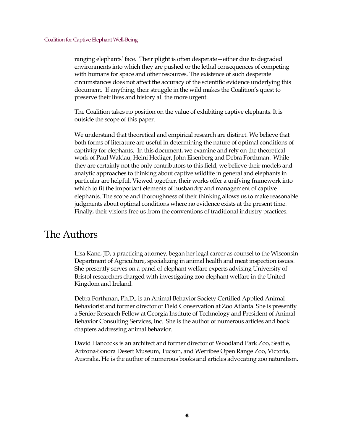ranging elephants' face. Their plight is often desperate—either due to degraded environments into which they are pushed or the lethal consequences of competing with humans for space and other resources. The existence of such desperate circumstances does not affect the accuracy of the scientific evidence underlying this document. If anything, their struggle in the wild makes the Coalition's quest to preserve their lives and history all the more urgent.

The Coalition takes no position on the value of exhibiting captive elephants. It is outside the scope of this paper.

We understand that theoretical and empirical research are distinct. We believe that both forms of literature are useful in determining the nature of optimal conditions of captivity for elephants. In this document, we examine and rely on the theoretical work of Paul Waldau, Heini Hediger, John Eisenberg and Debra Forthman. While they are certainly not the only contributors to this field, we believe their models and analytic approaches to thinking about captive wildlife in general and elephants in particular are helpful. Viewed together, their works offer a unifying framework into which to fit the important elements of husbandry and management of captive elephants. The scope and thoroughness of their thinking allows us to make reasonable judgments about optimal conditions where no evidence exists at the present time. Finally, their visions free us from the conventions of traditional industry practices.

## <span id="page-5-0"></span>The Authors

Lisa Kane, JD, a practicing attorney, began her legal career as counsel to the Wisconsin Department of Agriculture, specializing in animal health and meat inspection issues. She presently serves on a panel of elephant welfare experts advising University of Bristol researchers charged with investigating zoo elephant welfare in the United Kingdom and Ireland.

Debra Forthman, Ph.D., is an Animal Behavior Society Certified Applied Animal Behaviorist and former director of Field Conservation at Zoo Atlanta. She is presently a Senior Research Fellow at Georgia Institute of Technology and President of Animal Behavior Consulting Services, Inc. She is the author of numerous articles and book chapters addressing animal behavior.

David Hancocks is an architect and former director of Woodland Park Zoo, Seattle, Arizona-Sonora Desert Museum, Tucson, and Werribee Open Range Zoo, Victoria, Australia. He is the author of numerous books and articles advocating zoo naturalism.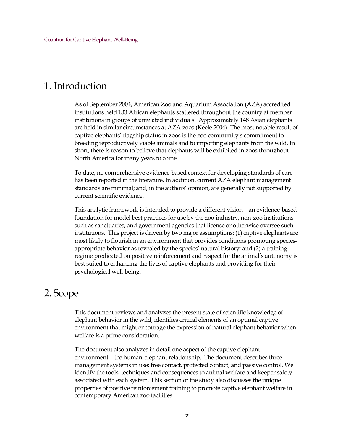## <span id="page-6-0"></span>1. Introduction

As of September 2004, American Zoo and Aquarium Association (AZA) accredited institutions held 133 African elephants scattered throughout the country at member institutions in groups of unrelated individuals. Approximately 148 Asian elephants are held in similar circumstances at AZA zoos (Keele 2004). The most notable result of captive elephants' flagship status in zoos is the zoo community's commitment to breeding reproductively viable animals and to importing elephants from the wild. In short, there is reason to believe that elephants will be exhibited in zoos throughout North America for many years to come.

To date, no comprehensive evidence-based context for developing standards of care has been reported in the literature. In addition, current AZA elephant management standards are minimal; and, in the authors' opinion, are generally not supported by current scientific evidence.

This analytic framework is intended to provide a different vision—an evidence-based foundation for model best practices for use by the zoo industry, non-zoo institutions such as sanctuaries, and government agencies that license or otherwise oversee such institutions. This project is driven by two major assumptions: (1) captive elephants are most likely to flourish in an environment that provides conditions promoting speciesappropriate behavior as revealed by the species' natural history; and (2) a training regime predicated on positive reinforcement and respect for the animal's autonomy is best suited to enhancing the lives of captive elephants and providing for their psychological well-being.

## <span id="page-6-1"></span>2. Scope

This document reviews and analyzes the present state of scientific knowledge of elephant behavior in the wild, identifies critical elements of an optimal captive environment that might encourage the expression of natural elephant behavior when welfare is a prime consideration.

The document also analyzes in detail one aspect of the captive elephant environment—the human-elephant relationship. The document describes three management systems in use: free contact, protected contact, and passive control. We identify the tools, techniques and consequences to animal welfare and keeper safety associated with each system. This section of the study also discusses the unique properties of positive reinforcement training to promote captive elephant welfare in contemporary American zoo facilities.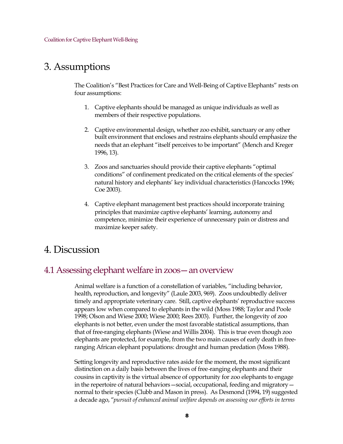## <span id="page-7-0"></span>3. Assumptions

The Coalition's "Best Practices for Care and Well-Being of Captive Elephants" rests on four assumptions:

- 1. Captive elephants should be managed as unique individuals as well as members of their respective populations.
- 2. Captive environmental design, whether zoo exhibit, sanctuary or any other built environment that encloses and restrains elephants should emphasize the needs that an elephant "itself perceives to be important" (Mench and Kreger 1996, 13).
- 3. Zoos and sanctuaries should provide their captive elephants "optimal conditions" of confinement predicated on the critical elements of the species' natural history and elephants' key individual characteristics (Hancocks 1996; Coe 2003).
- 4. Captive elephant management best practices should incorporate training principles that maximize captive elephants' learning, autonomy and competence, minimize their experience of unnecessary pain or distress and maximize keeper safety.

## <span id="page-7-1"></span>4. Discussion

## <span id="page-7-2"></span>4.1 Assessing elephant welfare in zoos—an overview

Animal welfare is a function of a constellation of variables, "including behavior, health, reproduction, and longevity" (Laule 2003, 969). Zoos undoubtedly deliver timely and appropriate veterinary care. Still, captive elephants' reproductive success appears low when compared to elephants in the wild (Moss 1988; Taylor and Poole 1998; Olson and Wiese 2000; Wiese 2000; Rees 2003). Further, the longevity of zoo elephants is not better, even under the most favorable statistical assumptions, than that of free-ranging elephants (Wiese and Willis 2004). This is true even though zoo elephants are protected, for example, from the two main causes of early death in freeranging African elephant populations: drought and human predation (Moss 1988).

Setting longevity and reproductive rates aside for the moment, the most significant distinction on a daily basis between the lives of free-ranging elephants and their cousins in captivity is the virtual absence of opportunity for zoo elephants to engage in the repertoire of natural behaviors—social, occupational, feeding and migratory normal to their species (Clubb and Mason in press). As Desmond (1994, 19) suggested a decade ago, "*pursuit of enhanced animal welfare depends on assessing our efforts in terms*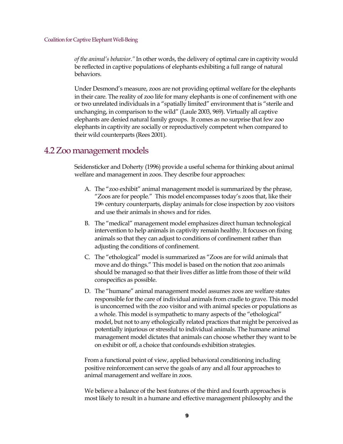*of the animal's behavior."* In other words, the delivery of optimal care in captivity would be reflected in captive populations of elephants exhibiting a full range of natural behaviors.

Under Desmond's measure, zoos are not providing optimal welfare for the elephants in their care. The reality of zoo life for many elephants is one of confinement with one or two unrelated individuals in a "spatially limited" environment that is "sterile and unchanging, in comparison to the wild" (Laule 2003, 969). Virtually all captive elephants are denied natural family groups. It comes as no surprise that few zoo elephants in captivity are socially or reproductively competent when compared to their wild counterparts (Rees 2001).

### <span id="page-8-0"></span>4.2 Zoo management models

Seidensticker and Doherty (1996) provide a useful schema for thinking about animal welfare and management in zoos. They describe four approaches:

- A. The "zoo exhibit" animal management model is summarized by the phrase, "Zoos are for people." This model encompasses today's zoos that, like their 19th century counterparts, display animals for close inspection by zoo visitors and use their animals in shows and for rides.
- B. The "medical" management model emphasizes direct human technological intervention to help animals in captivity remain healthy. It focuses on fixing animals so that they can adjust to conditions of confinement rather than adjusting the conditions of confinement.
- C. The "ethological" model is summarized as "Zoos are for wild animals that move and do things." This model is based on the notion that zoo animals should be managed so that their lives differ as little from those of their wild conspecifics as possible.
- D. The "humane" animal management model assumes zoos are welfare states responsible for the care of individual animals from cradle to grave. This model is unconcerned with the zoo visitor and with animal species or populations as a whole. This model is sympathetic to many aspects of the "ethological" model, but not to any ethologically related practices that might be perceived as potentially injurious or stressful to individual animals. The humane animal management model dictates that animals can choose whether they want to be on exhibit or off, a choice that confounds exhibition strategies.

From a functional point of view, applied behavioral conditioning including positive reinforcement can serve the goals of any and all four approaches to animal management and welfare in zoos.

We believe a balance of the best features of the third and fourth approaches is most likely to result in a humane and effective management philosophy and the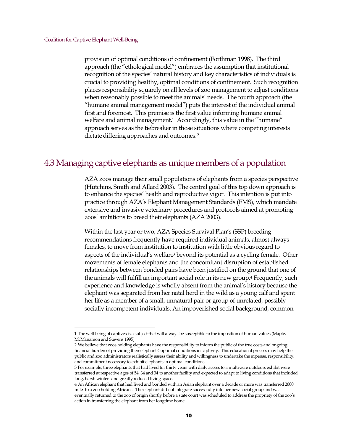provision of optimal conditions of confinement (Forthman 1998). The third approach (the "ethological model") embraces the assumption that institutional recognition of the species' natural history and key characteristics of individuals is crucial to providing healthy, optimal conditions of confinement. Such recognition places responsibility squarely on all levels of zoo management to adjust conditions when reasonably possible to meet the animals' needs. The fourth approach (the "humane animal management model") puts the interest of the individual animal first and foremost. This premise is the first value informing humane animal welfare and animal management.<sup>[1](#page-9-1)</sup> Accordingly, this value in the "humane" approach serves as the tiebreaker in those situations where competing interests dictate differing approaches and outcomes.<sup>[2](#page-9-2)</sup>

### <span id="page-9-0"></span>4.3 Managing captive elephants as unique members of a population

AZA zoos manage their small populations of elephants from a species perspective (Hutchins, Smith and Allard 2003). The central goal of this top down approach is to enhance the species' health and reproductive vigor. This intention is put into practice through AZA's Elephant Management Standards (EMS), which mandate extensive and invasive veterinary procedures and protocols aimed at promoting zoos' ambitions to breed their elephants (AZA 2003).

Within the last year or two, AZA Species Survival Plan's (SSP) breeding recommendations frequently have required individual animals, almost always females, to move from institution to institution with little obvious regard to aspects of the individual's welfare[3](#page-9-3) beyond its potential as a cycling female. Other movements of female elephants and the concomitant disruption of established relationships between bonded pairs have been justified on the ground that one of the animals will fulfill an important social role in its new group.[4](#page-9-4) Frequently, such experience and knowledge is wholly absent from the animal's history because the elephant was separated from her natal herd in the wild as a young calf and spent her life as a member of a small, unnatural pair or group of unrelated, possibly socially incompetent individuals. An impoverished social background, common

<span id="page-9-1"></span><sup>1</sup> The well-being of captives is a subject that will always be susceptible to the imposition of human values (Maple, McManamon and Stevens 1995)

<span id="page-9-2"></span><sup>2</sup> We believe that zoos holding elephants have the responsibility to inform the public of the true costs and ongoing financial burden of providing their elephants' optimal conditions in captivity. This educational process may help the public and zoo administrators realistically assess their ability and willingness to undertake the expense, responsibility, and commitment necessary to exhibit elephants in optimal conditions.

<span id="page-9-3"></span><sup>3</sup> For example, three elephants that had lived for thirty years with daily access to a multi-acre outdoors exhibit were transferred at respective ages of 54, 34 and 34 to another facility and expected to adapt to living conditions that included long, harsh winters and greatly reduced living space.

<span id="page-9-4"></span><sup>4</sup> An African elephant that had lived and bonded with an Asian elephant over a decade or more was transferred 2000 miles to a zoo holding Africans. The elephant did not integrate successfully into her new social group and was eventually returned to the zoo of origin shortly before a state court was scheduled to address the propriety of the zoo's action in transferring the elephant from her longtime home.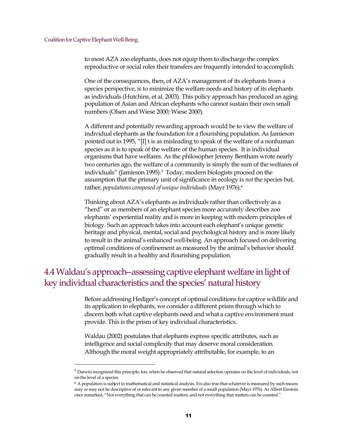to most AZA zoo elephants, does not equip them to discharge the complex reproductive or social roles their transfers are frequently intended to accomplish.

One of the consequences, then, of AZA's management of its elephants from a species perspective, is to minimize the welfare needs and history of its elephants as individuals (Hutchins, et al. 2003). This policy approach has produced an aging population of Asian and African elephants who cannot sustain their own small numbers (Olsen and Wiese 2000; Wiese 2000).

A different and potentially rewarding approach would be to view the welfare of individual elephants as the foundation for a flourishing population. As Jamieson pointed out in 1995, "[I] t is as misleading to speak of the welfare of a nonhuman species as it is to speak of the welfare of the human species. It is individual organisms that have welfares. As the philosopher Jeremy Bentham wrote nearly two centuries ago, the welfare of a community is simply the sum of the welfares of individuals" (Jamieson 199[5](#page-10-1)).<sup>5</sup> Today, modern biologists proceed on the assumption that the primary unit of significance in ecology is *not*the species but, rather, *populations composed of unique individuals* (Mayr 1976).[6](#page-10-2)

Thinking about AZA's elephants as individuals rather than collectively as a "herd" or as members of an elephant species more accurately describes zoo elephants' experiential reality and is more in keeping with modern principles of biology. Such an approach takes into account each elephant's unique genetic heritage and physical, mental, social and psychological history and is more likely to result in the animal's enhanced well-being. An approach focused on delivering optimal conditions of confinement as measured by the animal's behavior should gradually result in a healthy and flourishing population.

## <span id="page-10-0"></span>4.4 Waldau's approach--assessing captive elephant welfare in light of key individual characteristics and the species' natural history

Before addressing Hediger's concept of optimal conditions for captive wildlife and its application to elephants, we consider a different prism through which to discern both what captive elephants need and what a captive environment must provide. This is the prism of key individual characteristics.

Waldau (2002) postulates that elephants express specific attributes, such as intelligence and social complexity that may deserve moral consideration. Although the moral weight appropriately attributable, for example, to an

<span id="page-10-1"></span><sup>5</sup> Darwin recognized this principle, too, when he observed that natural selection operates on the level of individuals, not on the level of a species.

<span id="page-10-2"></span><sup>6</sup> A population is subject to mathematical and statistical analysis. Itis also true that whatever is measured by such means may or may not be descriptive of or relevant to any given member of a small population (Mayr 1976). As Albert Einstein once remarked, "Not everything that can be counted matters, and not everything that matters can be counted."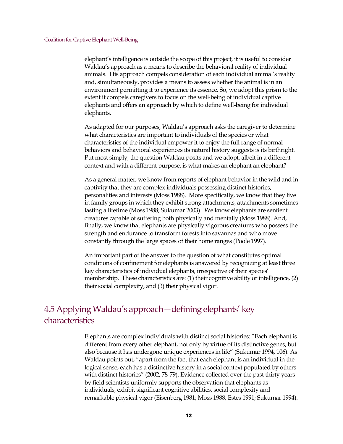elephant's intelligence is outside the scope of this project, it is useful to consider Waldau's approach as a means to describe the behavioral reality of individual animals. His approach compels consideration of each individual animal's reality and, simultaneously, provides a means to assess whether the animal is in an environment permitting it to experience its essence. So, we adopt this prism to the extent it compels caregivers to focus on the well-being of individual captive elephants and offers an approach by which to define well-being for individual elephants.

As adapted for our purposes, Waldau's approach asks the caregiver to determine what characteristics are important to individuals of the species or what characteristics of the individual empower it to enjoy the full range of normal behaviors and behavioral experiences its natural history suggests is its birthright. Put most simply, the question Waldau posits and we adopt, albeit in a different context and with a different purpose, is what makes an elephant an elephant?

As a general matter, we know from reports of elephant behavior in the wild and in captivity that they are complex individuals possessing distinct histories, personalities and interests (Moss 1988). More specifically, we know that they live in family groups in which they exhibit strong attachments, attachments sometimes lasting a lifetime (Moss 1988; Sukumar 2003). We know elephants are sentient creatures capable of suffering both physically and mentally (Moss 1988). And, finally, we know that elephants are physically vigorous creatures who possess the strength and endurance to transform forests into savannas and who move constantly through the large spaces of their home ranges (Poole 1997).

An important part of the answer to the question of what constitutes optimal conditions of confinement for elephants is answered by recognizing at least three key characteristics of individual elephants, irrespective of their species' membership. These characteristics are: (1) their cognitive ability or intelligence, (2) their social complexity, and (3) their physical vigor.

## <span id="page-11-0"></span>4.5 Applying Waldau's approach—defining elephants' key characteristics

Elephants are complex individuals with distinct social histories: "Each elephant is different from every other elephant, not only by virtue of its distinctive genes, but also because it has undergone unique experiences in life" (Sukumar 1994, 106). As Waldau points out, "apart from the fact that each elephant is an individual in the logical sense, each has a distinctive history in a social context populated by others with distinct histories" (2002, 78-79). Evidence collected over the past thirty years by field scientists uniformly supports the observation that elephants as individuals, exhibit significant cognitive abilities, social complexity and remarkable physical vigor (Eisenberg 1981; Moss 1988, Estes 1991; Sukumar 1994).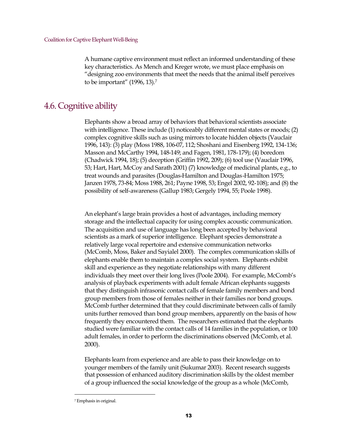A humane captive environment must reflect an informed understanding of these key characteristics. As Mench and Kreger wrote, we must place emphasis on "designing zoo environments that meet the needs that the animal itself perceives to be important" (1996, 13).[7](#page-12-1)

## <span id="page-12-0"></span>4.6. Cognitive ability

Elephants show a broad array of behaviors that behavioral scientists associate with intelligence. These include (1) noticeably different mental states or moods; (2) complex cognitive skills such as using mirrors to locate hidden objects (Vauclair 1996, 143): (3) play (Moss 1988, 106-07, 112; Shoshani and Eisenberg 1992, 134-136; Masson and McCarthy 1994, 148-149; and Fagen, 1981, 178-179); (4) boredom (Chadwick 1994, 18); (5) deception (Griffin 1992, 209); (6) tool use (Vauclair 1996, 53; Hart, Hart, McCoy and Sarath 2001) (7) knowledge of medicinal plants, e.g., to treat wounds and parasites (Douglas-Hamilton and Douglas-Hamilton 1975; Janzen 1978, 73-84; Moss 1988, 261; Payne 1998, 53; Engel 2002, 92-108); and (8) the possibility of self-awareness (Gallup 1983; Gergely 1994, 55; Poole 1998).

An elephant's large brain provides a host of advantages, including memory storage and the intellectual capacity for using complex acoustic communication. The acquisition and use of language has long been accepted by behavioral scientists as a mark of superior intelligence. Elephant species demonstrate a relatively large vocal repertoire and extensive communication networks (McComb, Moss, Baker and Sayialel 2000). The complex communication skills of elephants enable them to maintain a complex social system. Elephants exhibit skill and experience as they negotiate relationships with many different individuals they meet over their long lives (Poole 2004). For example, McComb's analysis of playback experiments with adult female African elephants suggests that they distinguish infrasonic contact calls of female family members and bond group members from those of females neither in their families nor bond groups. McComb further determined that they could discriminate between calls of family units further removed than bond group members, apparently on the basis of how frequently they encountered them. The researchers estimated that the elephants studied were familiar with the contact calls of 14 families in the population, or 100 adult females, in order to perform the discriminations observed (McComb, et al. 2000).

Elephants learn from experience and are able to pass their knowledge on to younger members of the family unit (Sukumar 2003). Recent research suggests that possession of enhanced auditory discrimination skills by the oldest member of a group influenced the social knowledge of the group as a whole (McComb,

<span id="page-12-1"></span><sup>7</sup> Emphasis in original.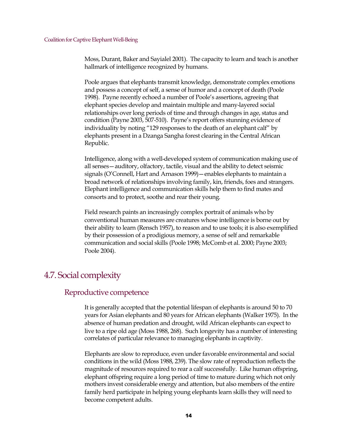Moss, Durant, Baker and Sayialel 2001). The capacity to learn and teach is another hallmark of intelligence recognized by humans.

Poole argues that elephants transmit knowledge, demonstrate complex emotions and possess a concept of self, a sense of humor and a concept of death (Poole 1998). Payne recently echoed a number of Poole's assertions, agreeing that elephant species develop and maintain multiple and many-layered social relationships over long periods of time and through changes in age, status and condition (Payne 2003, 507-510). Payne's report offers stunning evidence of individuality by noting "129 responses to the death of an elephant calf" by elephants present in a Dzanga Sangha forest clearing in the Central African Republic.

Intelligence, along with a well-developed system of communication making use of all senses—auditory, olfactory, tactile, visual and the ability to detect seismic signals (O'Connell, Hart and Arnason 1999)—enables elephants to maintain a broad network of relationships involving family, kin, friends, foes and strangers. Elephant intelligence and communication skills help them to find mates and consorts and to protect, soothe and rear their young.

Field research paints an increasingly complex portrait of animals who by conventional human measures are creatures whose intelligence is borne out by their ability to learn (Rensch 1957), to reason and to use tools; it is also exemplified by their possession of a prodigious memory, a sense of self and remarkable communication and social skills (Poole 1998; McComb et al. 2000; Payne 2003; Poole 2004).

## <span id="page-13-0"></span>4.7. Social complexity

### <span id="page-13-1"></span>Reproductive competence

It is generally accepted that the potential lifespan of elephants is around 50 to 70 years for Asian elephants and 80 years for African elephants (Walker 1975). In the absence of human predation and drought, wild African elephants can expect to live to a ripe old age (Moss 1988, 268). Such longevity has a number of interesting correlates of particular relevance to managing elephants in captivity.

Elephants are slow to reproduce, even under favorable environmental and social conditions in the wild (Moss 1988, 239). The slow rate of reproduction reflects the magnitude of resources required to rear a calf successfully. Like human offspring, elephant offspring require a long period of time to mature during which not only mothers invest considerable energy and attention, but also members of the entire family herd participate in helping young elephants learn skills they will need to become competent adults.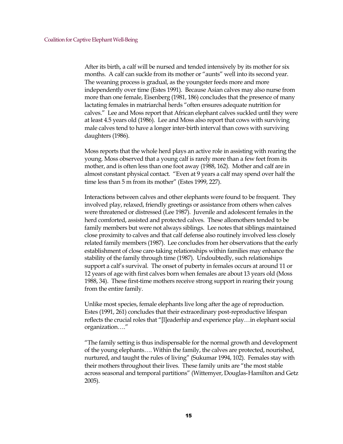After its birth, a calf will be nursed and tended intensively by its mother for six months. A calf can suckle from its mother or "aunts" well into its second year. The weaning process is gradual, as the youngster feeds more and more independently over time (Estes 1991). Because Asian calves may also nurse from more than one female, Eisenberg (1981, 186) concludes that the presence of many lactating females in matriarchal herds "often ensures adequate nutrition for calves." Lee and Moss report that African elephant calves suckled until they were at least 4.5 years old (1986). Lee and Moss also report that cows with surviving male calves tend to have a longer inter-birth interval than cows with surviving daughters (1986).

Moss reports that the whole herd plays an active role in assisting with rearing the young. Moss observed that a young calf is rarely more than a few feet from its mother, and is often less than one foot away (1988, 162). Mother and calf are in almost constant physical contact. "Even at 9 years a calf may spend over half the time less than 5 m from its mother" (Estes 1999, 227).

Interactions between calves and other elephants were found to be frequent. They involved play, relaxed, friendly greetings or assistance from others when calves were threatened or distressed (Lee 1987). Juvenile and adolescent females in the herd comforted, assisted and protected calves. These allomothers tended to be family members but were not always siblings. Lee notes that siblings maintained close proximity to calves and that calf defense also routinely involved less closely related family members (1987). Lee concludes from her observations that the early establishment of close care-taking relationships within families may enhance the stability of the family through time (1987). Undoubtedly, such relationships support a calf's survival. The onset of puberty in females occurs at around 11 or 12 years of age with first calves born when females are about 13 years old (Moss 1988, 34). These first-time mothers receive strong support in rearing their young from the entire family.

Unlike most species, female elephants live long after the age of reproduction. Estes (1991, 261) concludes that their extraordinary post-reproductive lifespan reflects the crucial roles that "[l]eaderhip and experience play…in elephant social organization…."

"The family setting is thus indispensable for the normal growth and development of the young elephants…. Within the family, the calves are protected, nourished, nurtured, and taught the rules of living" (Sukumar 1994, 102). Females stay with their mothers throughout their lives. These family units are "the most stable across seasonal and temporal partitions" (Wittemyer, Douglas-Hamilton and Getz 2005).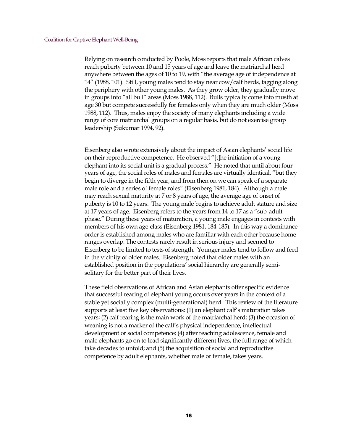Relying on research conducted by Poole, Moss reports that male African calves reach puberty between 10 and 15 years of age and leave the matriarchal herd anywhere between the ages of 10 to 19, with "the average age of independence at 14" (1988, 101). Still, young males tend to stay near cow/calf herds, tagging along the periphery with other young males. As they grow older, they gradually move in groups into "all bull" areas (Moss 1988, 112). Bulls typically come into musth at age 30 but compete successfully for females only when they are much older (Moss 1988, 112). Thus, males enjoy the society of many elephants including a wide range of core matriarchal groups on a regular basis, but do not exercise group leadership (Sukumar 1994, 92).

Eisenberg also wrote extensively about the impact of Asian elephants' social life on their reproductive competence. He observed "[t]he initiation of a young elephant into its social unit is a gradual process." He noted that until about four years of age, the social roles of males and females are virtually identical, "but they begin to diverge in the fifth year, and from then on we can speak of a separate male role and a series of female roles" (Eisenberg 1981, 184). Although a male may reach sexual maturity at 7 or 8 years of age, the average age of onset of puberty is 10 to 12 years. The young male begins to achieve adult stature and size at 17 years of age. Eisenberg refers to the years from 14 to 17 as a "sub-adult phase." During these years of maturation, a young male engages in contests with members of his own age-class (Eisenberg 1981, 184-185). In this way a dominance order is established among males who are familiar with each other because home ranges overlap. The contests rarely result in serious injury and seemed to Eisenberg to be limited to tests of strength. Younger males tend to follow and feed in the vicinity of older males. Eisenberg noted that older males with an established position in the populations' social hierarchy are generally semisolitary for the better part of their lives.

These field observations of African and Asian elephants offer specific evidence that successful rearing of elephant young occurs over years in the context of a stable yet socially complex (multi-generational) herd. This review of the literature supports at least five key observations: (1) an elephant calf's maturation takes years; (2) calf rearing is the main work of the matriarchal herd; (3) the occasion of weaning is not a marker of the calf's physical independence, intellectual development or social competence; (4) after reaching adolescence, female and male elephants go on to lead significantly different lives, the full range of which take decades to unfold; and (5) the acquisition of social and reproductive competence by adult elephants, whether male or female, takes years.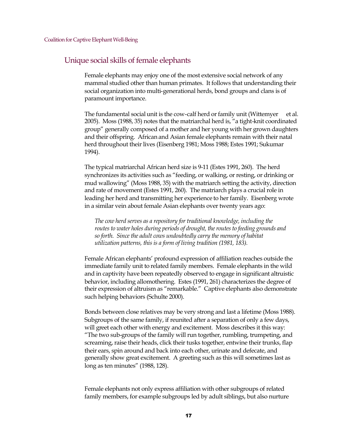#### <span id="page-16-0"></span>Unique social skills of female elephants

Female elephants may enjoy one of the most extensive social network of any mammal studied other than human primates. It follows that understanding their social organization into multi-generational herds, bond groups and clans is of paramount importance.

The fundamental social unit is the cow-calf herd or family unit (Wittemyer et al. 2005). Moss (1988, 35) notes that the matriarchal herd is, "a tight-knit coordinated group" generally composed of a mother and her young with her grown daughters and their offspring. African and Asian female elephants remain with their natal herd throughout their lives (Eisenberg 1981; Moss 1988; Estes 1991; Sukumar 1994).

The typical matriarchal African herd size is 9-11 (Estes 1991, 260). The herd synchronizes its activities such as "feeding, or walking, or resting, or drinking or mud wallowing" (Moss 1988, 35) with the matriarch setting the activity, direction and rate of movement (Estes 1991, 260). The matriarch plays a crucial role in leading her herd and transmitting her experience to her family. Eisenberg wrote in a similar vein about female Asian elephants over twenty years ago:

*The cow herd serves as a repository for traditional knowledge, including the routes to water holes during periods of drought, the routes to feeding grounds and so forth. Since the adult cows undoubtedly carry the memory of habitat utilization patterns, this is a form of living tradition (1981, 183).*

Female African elephants' profound expression of affiliation reaches outside the immediate family unit to related family members. Female elephants in the wild and in captivity have been repeatedly observed to engage in significant altruistic behavior, including allomothering. Estes (1991, 261) characterizes the degree of their expression of altruism as "remarkable." Captive elephants also demonstrate such helping behaviors (Schulte 2000).

Bonds between close relatives may be very strong and last a lifetime (Moss 1988). Subgroups of the same family, if reunited after a separation of only a few days, will greet each other with energy and excitement. Moss describes it this way: "The two sub-groups of the family will run together, rumbling, trumpeting, and screaming, raise their heads, click their tusks together, entwine their trunks, flap their ears, spin around and back into each other, urinate and defecate, and generally show great excitement. A greeting such as this will sometimes last as long as ten minutes" (1988, 128).

Female elephants not only express affiliation with other subgroups of related family members, for example subgroups led by adult siblings, but also nurture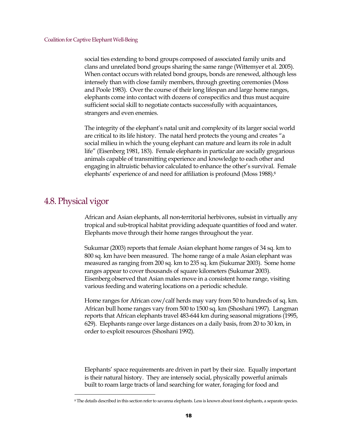social ties extending to bond groups composed of associated family units and clans and unrelated bond groups sharing the same range (Wittemyer et al. 2005). When contact occurs with related bond groups, bonds are renewed, although less intensely than with close family members, through greeting ceremonies (Moss and Poole 1983). Over the course of their long lifespan and large home ranges, elephants come into contact with dozens of conspecifics and thus must acquire sufficient social skill to negotiate contacts successfully with acquaintances, strangers and even enemies.

The integrity of the elephant's natal unit and complexity of its larger social world are critical to its life history. The natal herd protects the young and creates "a social milieu in which the young elephant can mature and learn its role in adult life" (Eisenberg 1981, 183). Female elephants in particular are socially gregarious animals capable of transmitting experience and knowledge to each other and engaging in altruistic behavior calculated to enhance the other's survival. Female elephants' experience of and need for affiliation is profound (Moss 19[8](#page-17-1)8).<sup>8</sup>

### <span id="page-17-0"></span>4.8. Physical vigor

African and Asian elephants, all non-territorial herbivores, subsist in virtually any tropical and sub-tropical habitat providing adequate quantities of food and water. Elephants move through their home ranges throughout the year.

Sukumar (2003) reports that female Asian elephant home ranges of 34 sq. km to 800 sq. km have been measured. The home range of a male Asian elephant was measured as ranging from 200 sq. km to 235 sq. km (Sukumar 2003). Some home ranges appear to cover thousands of square kilometers (Sukumar 2003). Eisenberg observed that Asian males move in a consistent home range, visiting various feeding and watering locations on a periodic schedule.

Home ranges for African cow/calf herds may vary from 50 to hundreds of sq. km. African bull home ranges vary from 500 to 1500 sq. km (Shoshani 1997). Langman reports that African elephants travel 483-644 km during seasonal migrations (1995, 629). Elephants range over large distances on a daily basis, from 20 to 30 km, in order to exploit resources (Shoshani 1992).

Elephants' space requirements are driven in part by their size. Equally important is their natural history. They are intensely social, physically powerful animals built to roam large tracts of land searching for water, foraging for food and

<span id="page-17-1"></span><sup>8</sup> The details described in this section refer to savanna elephants. Less is known about forest elephants, a separate species.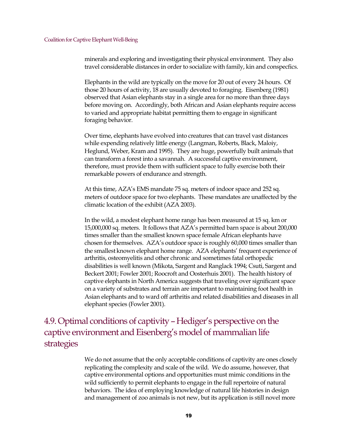minerals and exploring and investigating their physical environment. They also travel considerable distances in order to socialize with family, kin and conspecfics.

Elephants in the wild are typically on the move for 20 out of every 24 hours. Of those 20 hours of activity, 18 are usually devoted to foraging. Eisenberg (1981) observed that Asian elephants stay in a single area for no more than three days before moving on. Accordingly, both African and Asian elephants require access to varied and appropriate habitat permitting them to engage in significant foraging behavior.

Over time, elephants have evolved into creatures that can travel vast distances while expending relatively little energy (Langman, Roberts, Black, Maloiy, Heglund, Weber, Kram and 1995). They are huge, powerfully built animals that can transform a forest into a savannah. A successful captive environment, therefore, must provide them with sufficient space to fully exercise both their remarkable powers of endurance and strength.

At this time, AZA's EMS mandate 75 sq. meters of indoor space and 252 sq. meters of outdoor space for two elephants. These mandates are unaffected by the climatic location of the exhibit (AZA 2003).

In the wild, a modest elephant home range has been measured at 15 sq. km or 15,000,000 sq. meters. It follows that AZA's permitted barn space is about 200,000 times smaller than the smallest known space female African elephants have chosen for themselves. AZA's outdoor space is roughly 60,000 times smaller than the smallest known elephant home range. AZA elephants' frequent experience of arthritis, osteomyelitis and other chronic and sometimes fatal orthopedic disabilities is well known (Mikota, Sargent and Ranglack 1994; Csuti, Sargent and Beckert 2001; Fowler 2001; Roocroft and Oosterhuis 2001). The health history of captive elephants in North America suggests that traveling over significant space on a variety of substrates and terrain are important to maintaining foot health in Asian elephants and to ward off arthritis and related disabilities and diseases in all elephant species (Fowler 2001).

<span id="page-18-0"></span>4.9. Optimal conditions of captivity–Hediger's perspective on the captive environment and Eisenberg's model of mammalian life strategies

> We do not assume that the only acceptable conditions of captivity are ones closely replicating the complexity and scale of the wild. We do assume, however, that captive environmental options and opportunities must mimic conditions in the wild sufficiently to permit elephants to engage in the full repertoire of natural behaviors. The idea of employing knowledge of natural life histories in design and management of zoo animals is not new, but its application is still novel more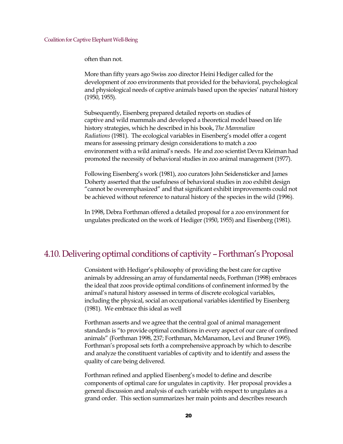often than not.

More than fifty years ago Swiss zoo director Heini Hediger called for the development of zoo environments that provided for the behavioral, psychological and physiological needs of captive animals based upon the species' natural history (1950, 1955).

Subsequently, Eisenberg prepared detailed reports on studies of captive and wild mammals and developed a theoretical model based on life history strategies, which he described in his book, *The Mammalian Radiations* (1981). The ecological variables in Eisenberg's model offer a cogent means for assessing primary design considerations to match a zoo environment with a wild animal's needs. He and zoo scientist Devra Kleiman had promoted the necessity of behavioral studies in zoo animal management (1977).

Following Eisenberg's work (1981), zoo curators John Seidensticker and James Doherty asserted that the usefulness of behavioral studies in zoo exhibit design "cannot be overemphasized" and that significant exhibit improvements could not be achieved without reference to natural history of the species in the wild (1996).

In 1998, Debra Forthman offered a detailed proposal for a zoo environment for ungulates predicated on the work of Hediger (1950, 1955) and Eisenberg (1981).

## <span id="page-19-0"></span>4.10. Delivering optimal conditions of captivity –Forthman's Proposal

Consistent with Hediger's philosophy of providing the best care for captive animals by addressing an array of fundamental needs, Forthman (1998) embraces the ideal that zoos provide optimal conditions of confinement informed by the animal's natural history assessed in terms of discrete ecological variables, including the physical, social an occupational variables identified by Eisenberg (1981). We embrace this ideal as well

Forthman asserts and we agree that the central goal of animal management standards is "to provide optimal conditions in every aspect of our care of confined animals" (Forthman 1998, 237; Forthman, McManamon, Levi and Bruner 1995). Forthman's proposal sets forth a comprehensive approach by which to describe and analyze the constituent variables of captivity and to identify and assess the quality of care being delivered.

Forthman refined and applied Eisenberg's model to define and describe components of optimal care for ungulates in captivity. Her proposal provides a general discussion and analysis of each variable with respect to ungulates as a grand order. This section summarizes her main points and describes research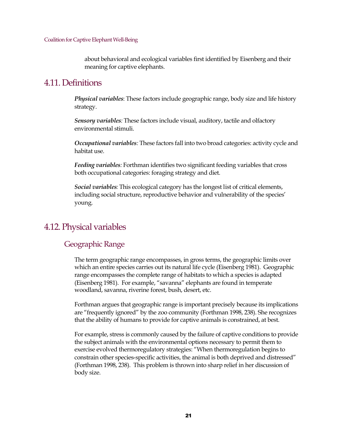about behavioral and ecological variables first identified by Eisenberg and their meaning for captive elephants.

## <span id="page-20-0"></span>4.11. Definitions

*Physical variables*: These factors include geographic range, body size and life history strategy.

*Sensory variables:* These factors include visual, auditory, tactile and olfactory environmental stimuli.

*Occupational variables:* These factors fall into two broad categories: activity cycle and habitat use.

*Feeding variables:* Forthman identifies two significant feeding variables that cross both occupational categories: foraging strategy and diet.

*Social variables:* This ecological category has the longest list of critical elements, including social structure, reproductive behavior and vulnerability of the species' young.

## <span id="page-20-1"></span>4.12. Physical variables

### <span id="page-20-2"></span>Geographic Range

The term geographic range encompasses, in gross terms, the geographic limits over which an entire species carries out its natural life cycle (Eisenberg 1981). Geographic range encompasses the complete range of habitats to which a species is adapted (Eisenberg 1981). For example, "savanna" elephants are found in temperate woodland, savanna, riverine forest, bush, desert, etc.

Forthman argues that geographic range is important precisely because its implications are "frequently ignored" by the zoo community (Forthman 1998, 238). She recognizes that the ability of humans to provide for captive animals is constrained, at best.

For example, stress is commonly caused by the failure of captive conditions to provide the subject animals with the environmental options necessary to permit them to exercise evolved thermoregulatory strategies: "When thermoregulation begins to constrain other species-specific activities, the animal is both deprived and distressed" (Forthman 1998, 238). This problem is thrown into sharp relief in her discussion of body size.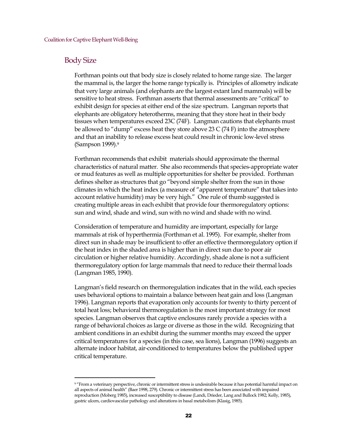#### <span id="page-21-0"></span>Body Size

Forthman points out that body size is closely related to home range size. The larger the mammal is, the larger the home range typically is. Principles of allometry indicate that very large animals (and elephants are the largest extant land mammals) will be sensitive to heat stress. Forthman asserts that thermal assessments are "critical" to exhibit design for species at either end of the size spectrum. Langman reports that elephants are obligatory heterotherms, meaning that they store heat in their body tissues when temperatures exceed 23C (74F). Langman cautions that elephants must be allowed to "dump" excess heat they store above 23 C (74 F) into the atmosphere and that an inability to release excess heat could result in chronic low-level stress (Sampson 1999).[9](#page-21-1)

Forthman recommends that exhibit materials should approximate the thermal characteristics of natural matter. She also recommends that species-appropriate water or mud features as well as multiple opportunities for shelter be provided. Forthman defines shelter as structures that go "beyond simple shelter from the sun in those climates in which the heat index (a measure of "apparent temperature" that takes into account relative humidity) may be very high." One rule of thumb suggested is creating multiple areas in each exhibit that provide four thermoregulatory options: sun and wind, shade and wind, sun with no wind and shade with no wind.

Consideration of temperature and humidity are important, especially for large mammals at risk of hyperthermia (Forthman et al. 1995). For example, shelter from direct sun in shade may be insufficient to offer an effective thermoregulatory option if the heat index in the shaded area is higher than in direct sun due to poor air circulation or higher relative humidity. Accordingly, shade alone is not a sufficient thermoregulatory option for large mammals that need to reduce their thermal loads (Langman 1985, 1990).

Langman's field research on thermoregulation indicates that in the wild, each species uses behavioral options to maintain a balance between heat gain and loss (Langman 1996). Langman reports that evaporation only accounts for twenty to thirty percent of total heat loss; behavioral thermoregulation is the most important strategy for most species. Langman observes that captive enclosures rarely provide a species with a range of behavioral choices as large or diverse as those in the wild. Recognizing that ambient conditions in an exhibit during the summer months may exceed the upper critical temperatures for a species (in this case, sea lions), Langman (1996) suggests an alternate indoor habitat, air-conditioned to temperatures below the published upper critical temperature.

<span id="page-21-1"></span><sup>&</sup>lt;sup>9</sup> "From a veterinary perspective, chronic or intermittent stress is undesirable because it has potential harmful impact on all aspects of animal health" (Baer 1998, 279). Chronic or intermittent stress has been associated with impaired reproduction (Moberg 1985), increased susceptibility to disease (Landi, Drieder, Lang and Bullock 1982; Kelly, 1985), gastric ulcers, cardiovascular pathology and alterations in basal metabolism (Klasig, 1985).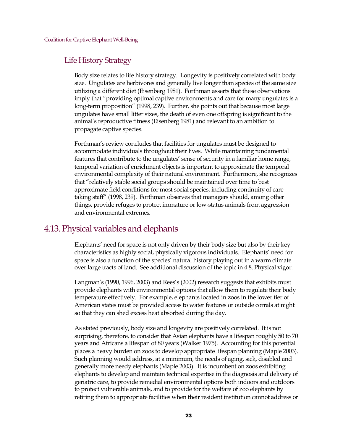## <span id="page-22-0"></span>Life History Strategy

Body size relates to life history strategy. Longevity is positively correlated with body size. Ungulates are herbivores and generally live longer than species of the same size utilizing a different diet (Eisenberg 1981). Forthman asserts that these observations imply that "providing optimal captive environments and care for many ungulates is a long-term proposition" (1998, 239). Further, she points out that because most large ungulates have small litter sizes, the death of even one offspring is significant to the animal's reproductive fitness (Eisenberg 1981) and relevant to an ambition to propagate captive species.

Forthman's review concludes that facilities for ungulates must be designed to accommodate individuals throughout their lives. While maintaining fundamental features that contribute to the ungulates' sense of security in a familiar home range, temporal variation of enrichment objects is important to approximate the temporal environmental complexity of their natural environment. Furthermore, she recognizes that "relatively stable social groups should be maintained over time to best approximate field conditions for most social species, including continuity of care taking staff" (1998, 239). Forthman observes that managers should, among other things, provide refuges to protect immature or low-status animals from aggression and environmental extremes.

## <span id="page-22-1"></span>4.13. Physical variables and elephants

Elephants' need for space is not only driven by their body size but also by their key characteristics as highly social, physically vigorous individuals. Elephants' need for space is also a function of the species' natural history playing out in a warm climate over large tracts of land. See additional discussion of the topic in 4.8. Physical vigor.

Langman's (1990, 1996, 2003) and Rees's (2002) research suggests that exhibits must provide elephants with environmental options that allow them to regulate their body temperature effectively. For example, elephants located in zoos in the lower tier of American states must be provided access to water features or outside corrals at night so that they can shed excess heat absorbed during the day.

As stated previously, body size and longevity are positively correlated. It is not surprising, therefore, to consider that Asian elephants have a lifespan roughly 50 to 70 years and Africans a lifespan of 80 years (Walker 1975). Accounting for this potential places a heavy burden on zoos to develop appropriate lifespan planning (Maple 2003). Such planning would address, at a minimum, the needs of aging, sick, disabled and generally more needy elephants (Maple 2003). It is incumbent on zoos exhibiting elephants to develop and maintain technical expertise in the diagnosis and delivery of geriatric care, to provide remedial environmental options both indoors and outdoors to protect vulnerable animals, and to provide for the welfare of zoo elephants by retiring them to appropriate facilities when their resident institution cannot address or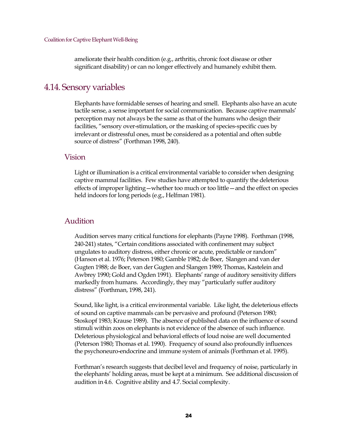ameliorate their health condition (e.g., arthritis, chronic foot disease or other significant disability) or can no longer effectively and humanely exhibit them.

### <span id="page-23-0"></span>4.14. Sensory variables

Elephants have formidable senses of hearing and smell. Elephants also have an acute tactile sense, a sense important for social communication. Because captive mammals' perception may not always be the same as that of the humans who design their facilities, "sensory over-stimulation, or the masking of species-specific cues by irrelevant or distressful ones, must be considered as a potential and often subtle source of distress" (Forthman 1998, 240).

#### <span id="page-23-1"></span>Vision

Light or illumination is a critical environmental variable to consider when designing captive mammal facilities. Few studies have attempted to quantify the deleterious effects of improper lighting—whether too much or too little—and the effect on species held indoors for long periods (e.g., Helfman 1981).

#### <span id="page-23-2"></span>Audition

Audition serves many critical functions for elephants (Payne 1998). Forthman (1998, 240-241) states, "Certain conditions associated with confinement may subject ungulates to auditory distress, either chronic or acute, predictable or random" (Hanson et al. 1976; Peterson 1980; Gamble 1982; de Boer, Slangen and van der Gugten 1988; de Boer, van der Gugten and Slangen 1989; Thomas, Kastelein and Awbrey 1990; Gold and Ogden 1991). Elephants' range of auditory sensitivity differs markedly from humans. Accordingly, they may "particularly suffer auditory distress" (Forthman, 1998, 241).

Sound, like light, is a critical environmental variable. Like light, the deleterious effects of sound on captive mammals can be pervasive and profound (Peterson 1980; Stoskopf 1983; Krause 1989). The absence of published data on the influence of sound stimuli within zoos on elephants is not evidence of the absence of such influence. Deleterious physiological and behavioral effects of loud noise are well documented (Peterson 1980; Thomas et al. 1990). Frequency of sound also profoundly influences the psychoneuro-endocrine and immune system of animals (Forthman et al. 1995).

Forthman's research suggests that decibel level and frequency of noise, particularly in the elephants' holding areas, must be kept at a minimum. See additional discussion of audition in 4.6. Cognitive ability and 4.7. Social complexity.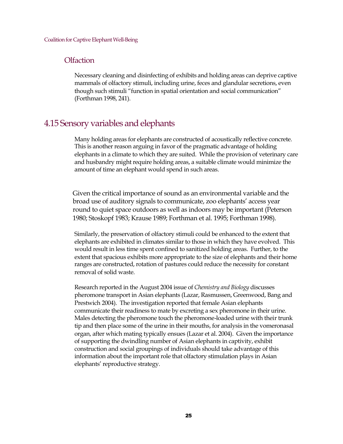#### <span id="page-24-0"></span>**Olfaction**

Necessary cleaning and disinfecting of exhibits and holding areas can deprive captive mammals of olfactory stimuli, including urine, feces and glandular secretions, even though such stimuli "function in spatial orientation and social communication" (Forthman 1998, 241).

### <span id="page-24-1"></span>4.15 Sensory variables and elephants

Many holding areas for elephants are constructed of acoustically reflective concrete. This is another reason arguing in favor of the pragmatic advantage of holding elephants in a climate to which they are suited. While the provision of veterinary care and husbandry might require holding areas, a suitable climate would minimize the amount of time an elephant would spend in such areas.

Given the critical importance of sound as an environmental variable and the broad use of auditory signals to communicate, zoo elephants' access year round to quiet space outdoors as well as indoors may be important (Peterson 1980; Stoskopf 1983; Krause 1989; Forthman et al. 1995; Forthman 1998).

Similarly, the preservation of olfactory stimuli could be enhanced to the extent that elephants are exhibited in climates similar to those in which they have evolved. This would result in less time spent confined to sanitized holding areas. Further, to the extent that spacious exhibits more appropriate to the size of elephants and their home ranges are constructed, rotation of pastures could reduce the necessity for constant removal of solid waste.

Research reported in the August 2004 issue of *Chemistry and Biology* discusses pheromone transport in Asian elephants (Lazar, Rasmussen, Greenwood, Bang and Prestwich 2004). The investigation reported that female Asian elephants communicate their readiness to mate by excreting a sex pheromone in their urine. Males detecting the pheromone touch the pheromone-loaded urine with their trunk tip and then place some of the urine in their mouths, for analysis in the vomeronasal organ, after which mating typically ensues (Lazar et al. 2004). Given the importance of supporting the dwindling number of Asian elephants in captivity, exhibit construction and social groupings of individuals should take advantage of this information about the important role that olfactory stimulation plays in Asian elephants' reproductive strategy.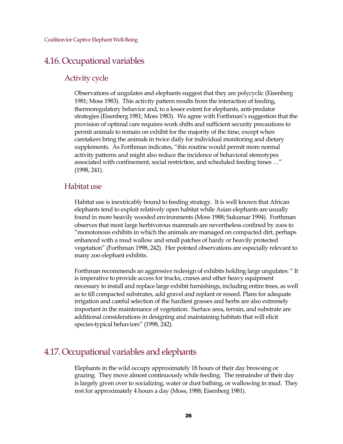### <span id="page-25-0"></span>4.16. Occupational variables

#### <span id="page-25-1"></span>Activity cycle

Observations of ungulates and elephants suggest that they are polycyclic (Eisenberg 1981; Moss 1983). This activity pattern results from the interaction of feeding, thermoregulatory behavior and, to a lesser extent for elephants, anti-predator strategies (Eisenberg 1981; Moss 1983). We agree with Forthman's suggestion that the provision of optimal care requires work shifts and sufficient security precautions to permit animals to remain on exhibit for the majority of the time, except when caretakers bring the animals in twice daily for individual monitoring and dietary supplements. As Forthman indicates, "this routine would permit more normal activity patterns and might also reduce the incidence of behavioral stereotypes associated with confinement, social restriction, and scheduled feeding times …" (1998, 241).

#### <span id="page-25-2"></span>Habitat use

Habitat use is inextricably bound to feeding strategy. It is well known that African elephants tend to exploit relatively open habitat while Asian elephants are usually found in more heavily wooded environments (Moss 1988; Sukumar 1994). Forthman observes that most large herbivorous mammals are nevertheless confined by zoos to "monotonous exhibits in which the animals are managed on compacted dirt, perhaps enhanced with a mud wallow and small patches of hardy or heavily protected vegetation" (Forthman 1998, 242). Her pointed observations are especially relevant to many zoo elephant exhibits.

Forthman recommends an aggressive redesign of exhibits holding large ungulates: " It is imperative to provide access for trucks, cranes and other heavy equipment necessary to install and replace large exhibit furnishings, including entire trees, as well as to till compacted substrates, add gravel and replant or reseed. Plans for adequate irrigation and careful selection of the hardiest grasses and herbs are also extremely important in the maintenance of vegetation. Surface area, terrain, and substrate are additional considerations in designing and maintaining habitats that will elicit species-typical behaviors" (1998, 242).

### <span id="page-25-3"></span>4.17. Occupational variables and elephants

Elephants in the wild occupy approximately 18 hours of their day browsing or grazing. They move almost continuously while feeding. The remainder of their day is largely given over to socializing, water or dust bathing, or wallowing in mud. They rest for approximately 4 hours a day (Moss, 1988; Eisenberg 1981).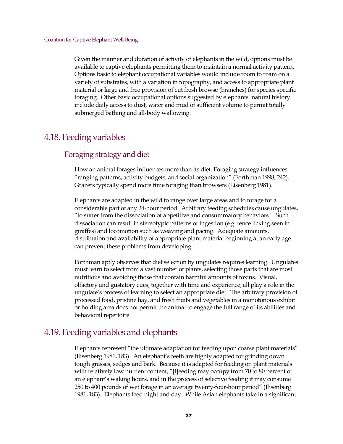Given the manner and duration of activity of elephants in the wild, options must be available to captive elephants permitting them to maintain a normal activity pattern. Options basic to elephant occupational variables would include room to roam on a variety of substrates, with a variation in topography, and access to appropriate plant material or large and free provision of cut fresh browse (branches) for species specific foraging. Other basic occupational options suggested by elephants' natural history include daily access to dust, water and mud of sufficient volume to permit totally submerged bathing and all-body wallowing.

### <span id="page-26-0"></span>4.18. Feeding variables

#### <span id="page-26-1"></span>Foraging strategy and diet

How an animal forages influences more than its diet. Foraging strategy influences "ranging patterns, activity budgets, and social organization" (Forthman 1998, 242). Grazers typically spend more time foraging than browsers (Eisenberg 1981).

Elephants are adapted in the wild to range over large areas and to forage for a considerable part of any 24-hour period. Arbitrary feeding schedules cause ungulates, "to suffer from the dissociation of appetitive and consummatory behaviors." Such dissociation can result in stereotypic patterns of ingestion (e.g. fence licking seen in giraffes) and locomotion such as weaving and pacing. Adequate amounts, distribution and availability of appropriate plant material beginning at an early age can prevent these problems from developing.

Forthman aptly observes that diet selection by ungulates requires learning. Ungulates must learn to select from a vast number of plants, selecting those parts that are most nutritious and avoiding those that contain harmful amounts of toxins. Visual, olfactory and gustatory cues, together with time and experience, all play a role in the ungulate's process of learning to select an appropriate diet. The arbitrary provision of processed food, pristine hay, and fresh fruits and vegetables in a monotonous exhibit or holding area does not permit the animal to engage the full range of its abilities and behavioral repertoire.

### <span id="page-26-2"></span>4.19. Feeding variables and elephants

Elephants represent "the ultimate adaptation for feeding upon coarse plant materials" (Eisenberg 1981, 183). An elephant's teeth are highly adapted for grinding down tough grasses, sedges and bark. Because it is adapted for feeding on plant materials with relatively low nutrient content, "[f]eeding may occupy from 70 to 80 percent of an elephant's waking hours, and in the process of selective feeding it may consume 250 to 400 pounds of wet forage in an average twenty-four-hour period" (Eisenberg 1981, 183). Elephants feed night and day. While Asian elephants take in a significant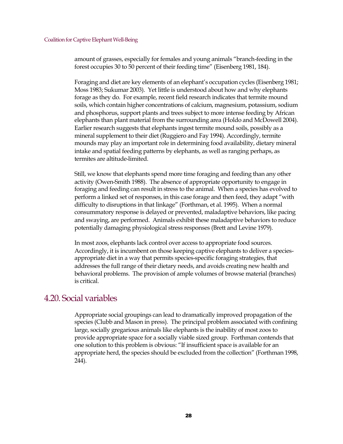amount of grasses, especially for females and young animals "branch-feeding in the forest occupies 30 to 50 percent of their feeding time" (Eisenberg 1981, 184).

Foraging and diet are key elements of an elephant's occupation cycles (Eisenberg 1981; Moss 1983; Sukumar 2003). Yet little is understood about how and why elephants forage as they do. For example, recent field research indicates that termite mound soils, which contain higher concentrations of calcium, magnesium, potassium, sodium and phosphorus, support plants and trees subject to more intense feeding by African elephants than plant material from the surrounding area (Holdo and McDowell 2004). Earlier research suggests that elephants ingest termite mound soils, possibly as a mineral supplement to their diet (Ruggiero and Fay 1994). Accordingly, termite mounds may play an important role in determining food availability, dietary mineral intake and spatial feeding patterns by elephants, as well as ranging perhaps, as termites are altitude-limited.

Still, we know that elephants spend more time foraging and feeding than any other activity (Owen-Smith 1988). The absence of appropriate opportunity to engage in foraging and feeding can result in stress to the animal. When a species has evolved to perform a linked set of responses, in this case forage and then feed, they adapt "with difficulty to disruptions in that linkage" (Forthman, et al. 1995). When a normal consummatory response is delayed or prevented, maladaptive behaviors, like pacing and swaying, are performed. Animals exhibit these maladaptive behaviors to reduce potentially damaging physiological stress responses (Brett and Levine 1979).

In most zoos, elephants lack control over access to appropriate food sources. Accordingly, it is incumbent on those keeping captive elephants to deliver a speciesappropriate diet in a way that permits species-specific foraging strategies, that addresses the full range of their dietary needs, and avoids creating new health and behavioral problems. The provision of ample volumes of browse material (branches) is critical.

### <span id="page-27-0"></span>4.20. Social variables

Appropriate social groupings can lead to dramatically improved propagation of the species (Clubb and Mason in press). The principal problem associated with confining large, socially gregarious animals like elephants is the inability of most zoos to provide appropriate space for a socially viable sized group. Forthman contends that one solution to this problem is obvious: "If insufficient space is available for an appropriate herd, the species should be excluded from the collection" (Forthman 1998, 244).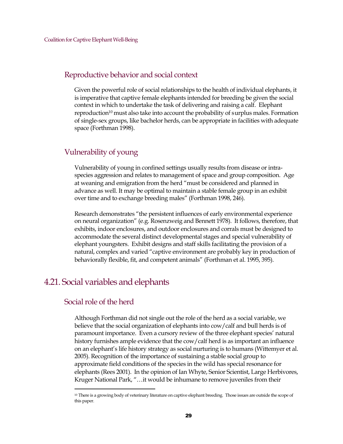#### <span id="page-28-0"></span>Reproductive behavior and social context

Given the powerful role of social relationships to the health of individual elephants, it is imperative that captive female elephants intended for breeding be given the social context in which to undertake the task of delivering and raising a calf. Elephant reproduction<sup>[10](#page-28-4)</sup> must also take into account the probability of surplus males. Formation of single-sex groups, like bachelor herds, can be appropriate in facilities with adequate space (Forthman 1998).

### <span id="page-28-1"></span>Vulnerability of young

Vulnerability of young in confined settings usually results from disease or intraspecies aggression and relates to management of space and group composition. Age at weaning and emigration from the herd "must be considered and planned in advance as well. It may be optimal to maintain a stable female group in an exhibit over time and to exchange breeding males" (Forthman 1998, 246).

Research demonstrates "the persistent influences of early environmental experience on neural organization" (e.g. Rosenzweig and Bennett 1978). It follows, therefore, that exhibits, indoor enclosures, and outdoor enclosures and corrals must be designed to accommodate the several distinct developmental stages and special vulnerability of elephant youngsters. Exhibit designs and staff skills facilitating the provision of a natural, complex and varied "captive environment are probably key in production of behaviorally flexible, fit, and competent animals" (Forthman et al. 1995, 395).

## <span id="page-28-2"></span>4.21. Social variables and elephants

### <span id="page-28-3"></span>Social role of the herd

Although Forthman did not single out the role of the herd as a social variable, we believe that the social organization of elephants into cow/calf and bull herds is of paramount importance. Even a cursory review of the three elephant species' natural history furnishes ample evidence that the cow/calf herd is as important an influence on an elephant's life history strategy as social nurturing is to humans (Wittemyer et al. 2005). Recognition of the importance of sustaining a stable social group to approximate field conditions of the species in the wild has special resonance for elephants (Rees 2001). In the opinion of Ian Whyte, Senior Scientist, Large Herbivores, Kruger National Park, "…it would be inhumane to remove juveniles from their

<span id="page-28-4"></span><sup>&</sup>lt;sup>10</sup> There is a growing body of veterinary literature on captive elephant breeding. Those issues are outside the scope of this paper.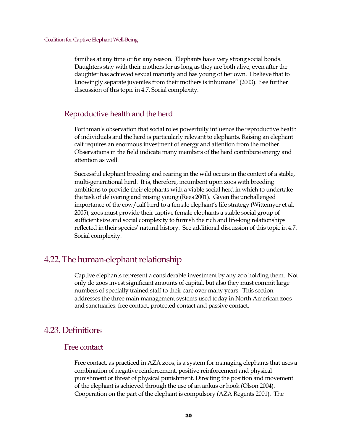families at any time or for any reason. Elephants have very strong social bonds. Daughters stay with their mothers for as long as they are both alive, even after the daughter has achieved sexual maturity and has young of her own. I believe that to knowingly separate juveniles from their mothers is inhumane" (2003). See further discussion of this topic in 4.7. Social complexity.

#### <span id="page-29-0"></span>Reproductive health and the herd

Forthman's observation that social roles powerfully influence the reproductive health of individuals and the herd is particularly relevant to elephants. Raising an elephant calf requires an enormous investment of energy and attention from the mother. Observations in the field indicate many members of the herd contribute energy and attention as well.

Successful elephant breeding and rearing in the wild occurs in the context of a stable, multi-generational herd. It is, therefore, incumbent upon zoos with breeding ambitions to provide their elephants with a viable social herd in which to undertake the task of delivering and raising young (Rees 2001). Given the unchallenged importance of the cow/calf herd to a female elephant's life strategy (Wittemyer et al. 2005), zoos must provide their captive female elephants a stable social group of sufficient size and social complexity to furnish the rich and life-long relationships reflected in their species' natural history. See additional discussion of this topic in 4.7. Social complexity.

### <span id="page-29-1"></span>4.22. The human-elephant relationship

Captive elephants represent a considerable investment by any zoo holding them. Not only do zoos invest significant amounts of capital, but also they must commit large numbers of specially trained staff to their care over many years. This section addresses the three main management systems used today in North American zoos and sanctuaries: free contact, protected contact and passive contact.

### <span id="page-29-2"></span>4.23. Definitions

#### <span id="page-29-3"></span>Free contact

Free contact, as practiced in AZA zoos, is a system for managing elephants that uses a combination of negative reinforcement, positive reinforcement and physical punishment or threat of physical punishment. Directing the position and movement of the elephant is achieved through the use of an ankus or hook (Olson 2004). Cooperation on the part of the elephant is compulsory (AZA Regents 2001). The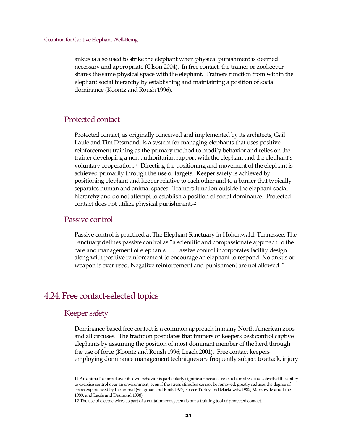ankus is also used to strike the elephant when physical punishment is deemed necessary and appropriate (Olson 2004). In free contact, the trainer or zookeeper shares the same physical space with the elephant. Trainers function from within the elephant social hierarchy by establishing and maintaining a position of social dominance (Koontz and Roush 1996).

#### <span id="page-30-0"></span>Protected contact

Protected contact, as originally conceived and implemented by its architects, Gail Laule and Tim Desmond, is a system for managing elephants that uses positive reinforcement training as the primary method to modify behavior and relies on the trainer developing a non-authoritarian rapport with the elephant and the elephant's voluntary cooperation.[11](#page-30-4) Directing the positioning and movement of the elephant is achieved primarily through the use of targets. Keeper safety is achieved by positioning elephant and keeper relative to each other and to a barrier that typically separates human and animal spaces. Trainers function outside the elephant social hierarchy and do not attempt to establish a position of social dominance. Protected contact does not utilize physical punishment.[12](#page-30-5)

#### <span id="page-30-1"></span>Passive control

Passive control is practiced at The Elephant Sanctuary in Hohenwald, Tennessee. The Sanctuary defines passive control as "a scientific and compassionate approach to the care and management of elephants. … Passive control incorporates facility design along with positive reinforcement to encourage an elephant to respond. No ankus or weapon is ever used. Negative reinforcement and punishment are not allowed. "

### <span id="page-30-2"></span>4.24. Free contact-selected topics

#### <span id="page-30-3"></span>Keeper safety

Dominance-based free contact is a common approach in many North American zoos and all circuses. The tradition postulates that trainers or keepers best control captive elephants by assuming the position of most dominant member of the herd through the use of force (Koontz and Roush 1996; Leach 2001). Free contact keepers employing dominance management techniques are frequently subject to attack, injury

<span id="page-30-4"></span><sup>11</sup>An animal's control over its own behavior is particularly significant because research on stress indicates that the ability to exercise control over an environment, even if the stress stimulus cannot be removed, greatly reduces the degree of stress experienced by the animal (Seligman and Binik 1977; Foster-Turley and Markowitz 1982; Markowitz and Line 1989; and Laule and Desmond 1998).

<span id="page-30-5"></span><sup>12</sup> The use of electric wires as part of a containment system is not a training tool of protected contact.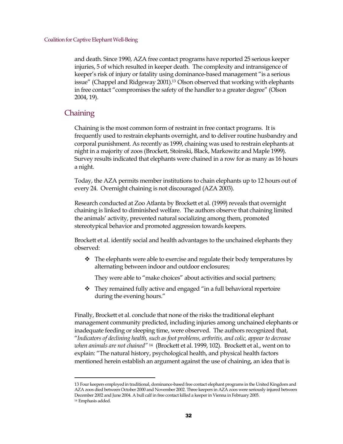and death. Since 1990, AZA free contact programs have reported 25 serious keeper injuries, 5 of which resulted in keeper death. The complexity and intransigence of keeper's risk of injury or fatality using dominance-based management "is a serious issue" (Chappel and Ridgeway 2001).[13](#page-31-1) Olson observed that working with elephants in free contact "compromises the safety of the handler to a greater degree" (Olson 2004, 19).

#### <span id="page-31-0"></span>**Chaining**

Chaining is the most common form of restraint in free contact programs. It is frequently used to restrain elephants overnight, and to deliver routine husbandry and corporal punishment. As recently as 1999, chaining was used to restrain elephants at night in a majority of zoos (Brockett, Stoinski, Black, Markowitz and Maple 1999). Survey results indicated that elephants were chained in a row for as many as 16 hours a night.

Today, the AZA permits member institutions to chain elephants up to 12 hours out of every 24. Overnight chaining is not discouraged (AZA 2003).

Research conducted at Zoo Atlanta by Brockett et al. (1999) reveals that overnight chaining is linked to diminished welfare. The authors observe that chaining limited the animals' activity, prevented natural socializing among them, promoted stereotypical behavior and promoted aggression towards keepers.

Brockett et al. identify social and health advantages to the unchained elephants they observed:

 $\hat{P}$  The elephants were able to exercise and regulate their body temperatures by alternating between indoor and outdoor enclosures;

They were able to "make choices" about activities and social partners;

• They remained fully active and engaged "in a full behavioral repertoire during the evening hours."

Finally, Brockett et al. conclude that none of the risks the traditional elephant management community predicted, including injuries among unchained elephants or inadequate feeding or sleeping time, were observed. The authors recognized that, "*Indicators of declining health, such as foot problems, arthritis, and colic, appear to decrease when animals are not chained"* [14](#page-31-2) (Brockett et al. 1999, 102). Brockett et al., went on to explain: "The natural history, psychological health, and physical health factors mentioned herein establish an argument against the use of chaining, an idea that is

<span id="page-31-2"></span><span id="page-31-1"></span><sup>13</sup> Four keepers employedin traditional, dominance-based free contact elephant programs in the United Kingdom and AZA zoos died between October 2000 and November 2002. Three keepers in AZA zoos were seriously injured between December 2002 and June 2004. A bull calf in free contact killed a keeper in Vienna in February 2005. <sup>14</sup> Emphasis added.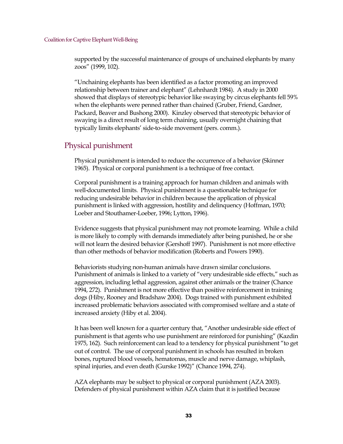supported by the successful maintenance of groups of unchained elephants by many zoos" (1999, 102).

"Unchaining elephants has been identified as a factor promoting an improved relationship between trainer and elephant" (Lehnhardt 1984). A study in 2000 showed that displays of stereotypic behavior like swaying by circus elephants fell 59% when the elephants were penned rather than chained (Gruber, Friend, Gardner, Packard, Beaver and Bushong 2000). Kinzley observed that stereotypic behavior of swaying is a direct result of long term chaining, usually overnight chaining that typically limits elephants' side-to-side movement (pers. comm.).

### <span id="page-32-0"></span>Physical punishment

Physical punishment is intended to reduce the occurrence of a behavior (Skinner 1965). Physical or corporal punishment is a technique of free contact.

Corporal punishment is a training approach for human children and animals with well-documented limits. Physical punishment is a questionable technique for reducing undesirable behavior in children because the application of physical punishment is linked with aggression, hostility and delinquency (Hoffman, 1970; Loeber and Stouthamer-Loeber, 1996; Lytton, 1996).

Evidence suggests that physical punishment may not promote learning. While a child is more likely to comply with demands immediately after being punished, he or she will not learn the desired behavior (Gershoff 1997). Punishment is not more effective than other methods of behavior modification (Roberts and Powers 1990).

Behaviorists studying non-human animals have drawn similar conclusions. Punishment of animals is linked to a variety of "very undesirable side effects," such as aggression, including lethal aggression, against other animals or the trainer (Chance 1994, 272). Punishment is not more effective than positive reinforcement in training dogs (Hiby, Rooney and Bradshaw 2004). Dogs trained with punishment exhibited increased problematic behaviors associated with compromised welfare and a state of increased anxiety (Hiby et al. 2004).

It has been well known for a quarter century that, "Another undesirable side effect of punishment is that agents who use punishment are reinforced for punishing" (Kazdin 1975, 162). Such reinforcement can lead to a tendency for physical punishment "to get out of control. The use of corporal punishment in schools has resulted in broken bones, ruptured blood vessels, hematomas, muscle and nerve damage, whiplash, spinal injuries, and even death (Gurske 1992)" (Chance 1994, 274).

AZA elephants may be subject to physical or corporal punishment (AZA 2003). Defenders of physical punishment within AZA claim that it is justified because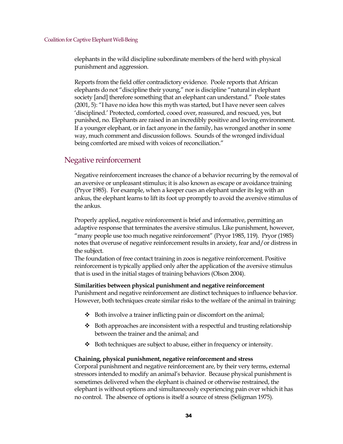elephants in the wild discipline subordinate members of the herd with physical punishment and aggression.

Reports from the field offer contradictory evidence. Poole reports that African elephants do not "discipline their young," nor is discipline "natural in elephant society [and] therefore something that an elephant can understand." Poole states (2001, 5): "I have no idea how this myth was started, but I have never seen calves 'disciplined.' Protected, comforted, cooed over, reassured, and rescued, yes, but punished, no. Elephants are raised in an incredibly positive and loving environment. If a younger elephant, or in fact anyone in the family, has wronged another in some way, much comment and discussion follows. Sounds of the wronged individual being comforted are mixed with voices of reconciliation."

#### <span id="page-33-0"></span>Negative reinforcement

Negative reinforcement increases the chance of a behavior recurring by the removal of an aversive or unpleasant stimulus; it is also known as escape or avoidance training (Pryor 1985). For example, when a keeper cues an elephant under its leg with an ankus, the elephant learns to lift its foot up promptly to avoid the aversive stimulus of the ankus.

Properly applied, negative reinforcement is brief and informative, permitting an adaptive response that terminates the aversive stimulus. Like punishment, however, "many people use too much negative reinforcement" (Pryor 1985, 119). Pryor (1985) notes that overuse of negative reinforcement results in anxiety, fear and/or distress in the subject.

The foundation of free contact training in zoos is negative reinforcement. Positive reinforcement is typically applied only after the application of the aversive stimulus that is used in the initial stages of training behaviors (Olson 2004).

#### **Similarities between physical punishment and negative reinforcement**

Punishment and negative reinforcement are distinct techniques to influence behavior. However, both techniques create similar risks to the welfare of the animal in training:

- $\triangleleft$  Both involve a trainer inflicting pain or discomfort on the animal;
- $\triangleleft$  Both approaches are inconsistent with a respectful and trusting relationship between the trainer and the animal; and
- $\bullet$  Both techniques are subject to abuse, either in frequency or intensity.

#### **Chaining, physical punishment, negative reinforcement and stress**

Corporal punishment and negative reinforcement are, by their very terms, external stressors intended to modify an animal's behavior. Because physical punishment is sometimes delivered when the elephant is chained or otherwise restrained, the elephant is without options and simultaneously experiencing pain over which it has no control. The absence of options is itself a source of stress (Seligman 1975).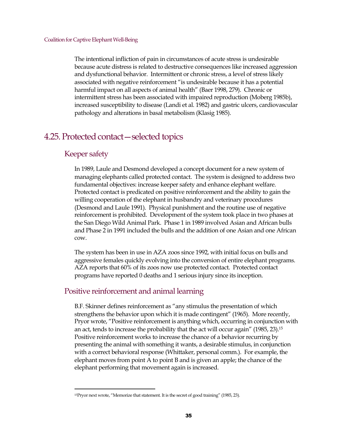The intentional infliction of pain in circumstances of acute stress is undesirable because acute distress is related to destructive consequences like increased aggression and dysfunctional behavior. Intermittent or chronic stress, a level of stress likely associated with negative reinforcement "is undesirable because it has a potential harmful impact on all aspects of animal health" (Baer 1998, 279). Chronic or intermittent stress has been associated with impaired reproduction (Moberg 1985b), increased susceptibility to disease (Landi et al. 1982) and gastric ulcers, cardiovascular pathology and alterations in basal metabolism (Klasig 1985).

### <span id="page-34-0"></span>4.25. Protected contact—selected topics

#### <span id="page-34-1"></span>Keeper safety

In 1989, Laule and Desmond developed a concept document for a new system of managing elephants called protected contact. The system is designed to address two fundamental objectives: increase keeper safety and enhance elephant welfare. Protected contact is predicated on positive reinforcement and the ability to gain the willing cooperation of the elephant in husbandry and veterinary procedures (Desmond and Laule 1991). Physical punishment and the routine use of negative reinforcement is prohibited. Development of the system took place in two phases at the San Diego Wild Animal Park. Phase 1 in 1989 involved Asian and African bulls and Phase 2 in 1991 included the bulls and the addition of one Asian and one African cow.

The system has been in use in AZA zoos since 1992, with initial focus on bulls and aggressive females quickly evolving into the conversion of entire elephant programs. AZA reports that 60% of its zoos now use protected contact. Protected contact programs have reported 0 deaths and 1 serious injury since its inception.

#### <span id="page-34-2"></span>Positive reinforcement and animal learning

B.F. Skinner defines reinforcement as "any stimulus the presentation of which strengthens the behavior upon which it is made contingent" (1965). More recently, Pryor wrote, "Positive reinforcement is anything which, occurring in conjunction with an act, tends to increase the probability that the act will occur again" (1985, 23).[15](#page-34-3) Positive reinforcement works to increase the chance of a behavior recurring by presenting the animal with something it wants, a desirable stimulus, in conjunction with a correct behavioral response (Whittaker, personal comm.). For example, the elephant moves from point A to point B and is given an apple; the chance of the elephant performing that movement again is increased.

<span id="page-34-3"></span><sup>15</sup>Pryor next wrote, "Memorize that statement. It is the secret of good training" (1985, 23).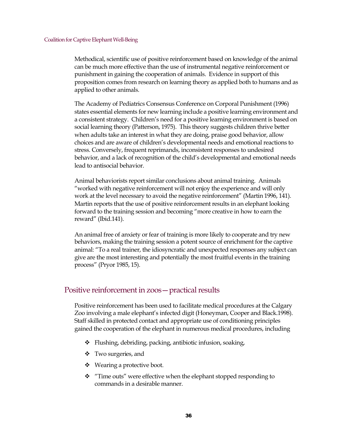Methodical, scientific use of positive reinforcement based on knowledge of the animal can be much more effective than the use of instrumental negative reinforcement or punishment in gaining the cooperation of animals. Evidence in support of this proposition comes from research on learning theory as applied both to humans and as applied to other animals.

The Academy of Pediatrics Consensus Conference on Corporal Punishment (1996) states essential elements for new learning include a positive learning environment and a consistent strategy. Children's need for a positive learning environment is based on social learning theory (Patterson, 1975). This theory suggests children thrive better when adults take an interest in what they are doing, praise good behavior, allow choices and are aware of children's developmental needs and emotional reactions to stress. Conversely, frequent reprimands, inconsistent responses to undesired behavior, and a lack of recognition of the child's developmental and emotional needs lead to antisocial behavior.

Animal behaviorists report similar conclusions about animal training. Animals "worked with negative reinforcement will not enjoy the experience and will only work at the level necessary to avoid the negative reinforcement" (Martin 1996, 141). Martin reports that the use of positive reinforcement results in an elephant looking forward to the training session and becoming "more creative in how to earn the reward" (Ibid.141).

An animal free of anxiety or fear of training is more likely to cooperate and try new behaviors, making the training session a potent source of enrichment for the captive animal: "To a real trainer, the idiosyncratic and unexpected responses any subject can give are the most interesting and potentially the most fruitful events in the training process" (Pryor 1985, 15).

#### <span id="page-35-0"></span>Positive reinforcement in zoos—practical results

Positive reinforcement has been used to facilitate medical procedures at the Calgary Zoo involving a male elephant's infected digit (Honeyman, Cooper and Black.1998). Staff skilled in protected contact and appropriate use of conditioning principles gained the cooperation of the elephant in numerous medical procedures, including

- Flushing, debriding, packing, antibiotic infusion, soaking,
- Two surgeries, and
- ❖ Wearing a protective boot.
- \* "Time outs" were effective when the elephant stopped responding to commands in a desirable manner.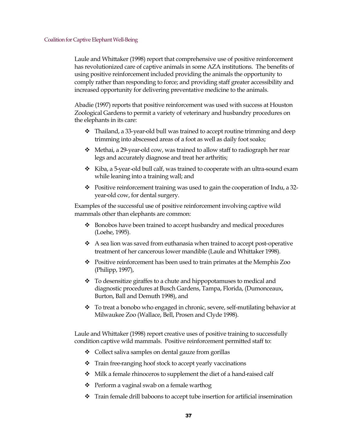Laule and Whittaker (1998) report that comprehensive use of positive reinforcement has revolutionized care of captive animals in some AZA institutions. The benefits of using positive reinforcement included providing the animals the opportunity to comply rather than responding to force; and providing staff greater accessibility and increased opportunity for delivering preventative medicine to the animals.

Abadie (1997) reports that positive reinforcement was used with success at Houston Zoological Gardens to permit a variety of veterinary and husbandry procedures on the elephants in its care:

- $\div$  Thailand, a 33-year-old bull was trained to accept routine trimming and deep trimming into abscessed areas of a foot as well as daily foot soaks;
- Methai, a 29-year-old cow, was trained to allow staff to radiograph her rear legs and accurately diagnose and treat her arthritis;
- $\div$  Kiba, a 5-year-old bull calf, was trained to cooperate with an ultra-sound exam while leaning into a training wall; and
- \* Positive reinforcement training was used to gain the cooperation of Indu, a 32year-old cow, for dental surgery.

Examples of the successful use of positive reinforcement involving captive wild mammals other than elephants are common:

- Bonobos have been trained to accept husbandry and medical procedures (Loehe, 1995).
- $\triangleleft$  A sea lion was saved from euthanasia when trained to accept post-operative treatment of her cancerous lower mandible (Laule and Whittaker 1998).
- Positive reinforcement has been used to train primates at the Memphis Zoo (Philipp, 1997),
- $\div$  To desensitize giraffes to a chute and hippopotamuses to medical and diagnostic procedures at Busch Gardens, Tampa, Florida, (Dumonceaux, Burton, Ball and Demuth 1998), and
- To treat a bonobo who engaged in chronic, severe, self-mutilating behavior at Milwaukee Zoo (Wallace, Bell, Prosen and Clyde 1998).

Laule and Whittaker (1998) report creative uses of positive training to successfully condition captive wild mammals. Positive reinforcement permitted staff to:

- Collect saliva samples on dental gauze from gorillas
- Train free-ranging hoof stock to accept yearly vaccinations
- $\div$  Milk a female rhinoceros to supplement the diet of a hand-raised calf
- ❖ Perform a vaginal swab on a female warthog
- Train female drill baboons to accept tube insertion for artificial insemination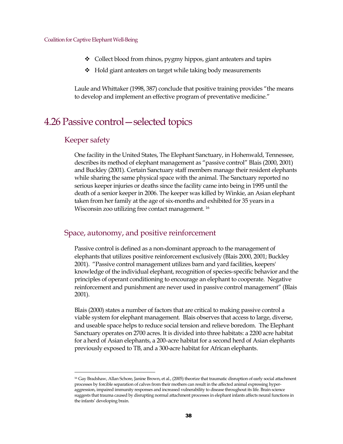- Collect blood from rhinos, pygmy hippos, giant anteaters and tapirs
- $\triangleleft$  Hold giant anteaters on target while taking body measurements

Laule and Whittaker (1998, 387) conclude that positive training provides "the means to develop and implement an effective program of preventative medicine."

## <span id="page-37-0"></span>4.26 Passive control—selected topics

### Keeper safety

One facility in the United States, The Elephant Sanctuary, in Hohenwald, Tennessee, describes its method of elephant management as "passive control" Blais (2000, 2001) and Buckley (2001). Certain Sanctuary staff members manage their resident elephants while sharing the same physical space with the animal. The Sanctuary reported no serious keeper injuries or deaths since the facility came into being in 1995 until the death of a senior keeper in 2006. The keeper was killed by Winkie, an Asian elephant taken from her family at the age of six-months and exhibited for 35 years in a Wisconsin zoo utilizing free contact management. [16](#page-37-1)

#### Space, autonomy, and positive reinforcement

Passive control is defined as a non-dominant approach to the management of elephants that utilizes positive reinforcement exclusively (Blais 2000, 2001; Buckley 2001). "Passive control management utilizes barn and yard facilities, keepers' knowledge of the individual elephant, recognition of species-specific behavior and the principles of operant conditioning to encourage an elephant to cooperate. Negative reinforcement and punishment are never used in passive control management" (Blais 2001).

Blais (2000) states a number of factors that are critical to making passive control a viable system for elephant management. Blais observes that access to large, diverse, and useable space helps to reduce social tension and relieve boredom. The Elephant Sanctuary operates on 2700 acres. It is divided into three habitats: a 2200 acre habitat for a herd of Asian elephants, a 200-acre habitat for a second herd of Asian elephants previously exposed to TB, and a 300-acre habitat for African elephants.

<span id="page-37-1"></span><sup>16</sup> Gay Bradshaw, Allan Schore, Janine Brown, et al., (2005) theorize that traumatic disruption of early social attachment processes by forcible separation of calves from their mothers can result in the affected animal expressing hyperaggression, impaired immunity responses and increased vulnerability to disease throughout its life. Brain science suggests that trauma caused by disrupting normal attachment processes in elephant infants affects neural functions in the infants' developing brain.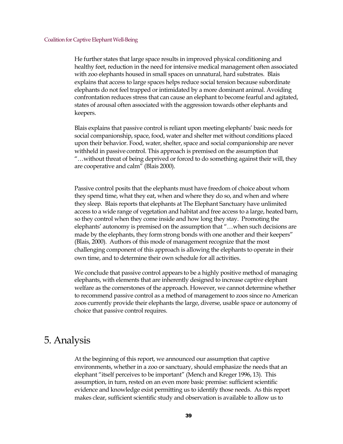He further states that large space results in improved physical conditioning and healthy feet, reduction in the need for intensive medical management often associated with zoo elephants housed in small spaces on unnatural, hard substrates. Blais explains that access to large spaces helps reduce social tension because subordinate elephants do not feel trapped or intimidated by a more dominant animal. Avoiding confrontation reduces stress that can cause an elephant to become fearful and agitated, states of arousal often associated with the aggression towards other elephants and keepers.

Blais explains that passive control is reliant upon meeting elephants' basic needs for social companionship, space, food, water and shelter met without conditions placed upon their behavior. Food, water, shelter, space and social companionship are never withheld in passive control. This approach is premised on the assumption that "…without threat of being deprived or forced to do something against their will, they are cooperative and calm" (Blais 2000).

Passive control posits that the elephants must have freedom of choice about whom they spend time, what they eat, when and where they do so, and when and where they sleep. Blais reports that elephants at The Elephant Sanctuary have unlimited access to a wide range of vegetation and habitat and free access to a large, heated barn, so they control when they come inside and how long they stay. Promoting the elephants' autonomy is premised on the assumption that "…when such decisions are made by the elephants, they form strong bonds with one another and their keepers" (Blais, 2000). Authors of this mode of management recognize that the most challenging component of this approach is allowing the elephants to operate in their own time, and to determine their own schedule for all activities.

We conclude that passive control appears to be a highly positive method of managing elephants, with elements that are inherently designed to increase captive elephant welfare as the cornerstones of the approach. However, we cannot determine whether to recommend passive control as a method of management to zoos since no American zoos currently provide their elephants the large, diverse, usable space or autonomy of choice that passive control requires.

## <span id="page-38-0"></span>5. Analysis

At the beginning of this report, we announced our assumption that captive environments, whether in a zoo or sanctuary, should emphasize the needs that an elephant "itself perceives to be important" (Mench and Kreger 1996, 13). This assumption, in turn, rested on an even more basic premise: sufficient scientific evidence and knowledge exist permitting us to identify those needs. As this report makes clear, sufficient scientific study and observation is available to allow us to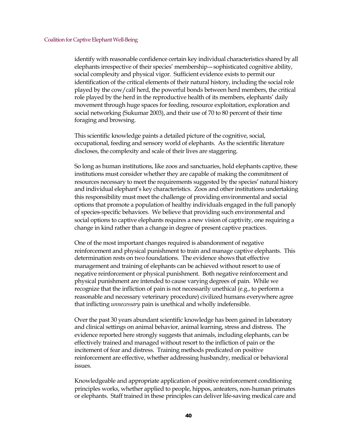identify with reasonable confidence certain key individual characteristics shared by all elephants irrespective of their species' membership—sophisticated cognitive ability, social complexity and physical vigor. Sufficient evidence exists to permit our identification of the critical elements of their natural history, including the social role played by the cow/calf herd, the powerful bonds between herd members, the critical role played by the herd in the reproductive health of its members, elephants' daily movement through huge spaces for feeding, resource exploitation, exploration and social networking (Sukumar 2003), and their use of 70 to 80 percent of their time foraging and browsing.

This scientific knowledge paints a detailed picture of the cognitive, social, occupational, feeding and sensory world of elephants. As the scientific literature discloses, the complexity and scale of their lives are staggering.

So long as human institutions, like zoos and sanctuaries, hold elephants captive, these institutions must consider whether they are capable of making the commitment of resources necessary to meet the requirements suggested by the species' natural history and individual elephant's key characteristics. Zoos and other institutions undertaking this responsibility must meet the challenge of providing environmental and social options that promote a population of healthy individuals engaged in the full panoply of species-specific behaviors. We believe that providing such environmental and social options to captive elephants requires a new vision of captivity, one requiring a change in kind rather than a change in degree of present captive practices.

One of the most important changes required is abandonment of negative reinforcement and physical punishment to train and manage captive elephants. This determination rests on two foundations. The evidence shows that effective management and training of elephants can be achieved without resort to use of negative reinforcement or physical punishment. Both negative reinforcement and physical punishment are intended to cause varying degrees of pain. While we recognize that the infliction of pain is not necessarily unethical (e.g., to perform a reasonable and necessary veterinary procedure) civilized humans everywhere agree that inflicting *unnecessary* pain is unethical and wholly indefensible.

Over the past 30 years abundant scientific knowledge has been gained in laboratory and clinical settings on animal behavior, animal learning, stress and distress. The evidence reported here strongly suggests that animals, including elephants, can be effectively trained and managed without resort to the infliction of pain or the incitement of fear and distress. Training methods predicated on positive reinforcement are effective, whether addressing husbandry, medical or behavioral issues.

Knowledgeable and appropriate application of positive reinforcement conditioning principles works, whether applied to people, hippos, anteaters, non-human primates or elephants. Staff trained in these principles can deliver life-saving medical care and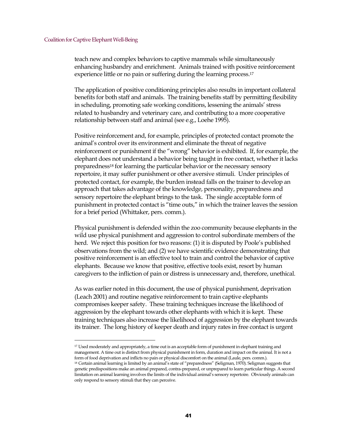teach new and complex behaviors to captive mammals while simultaneously enhancing husbandry and enrichment. Animals trained with positive reinforcement experience little or no pain or suffering during the learning process.<sup>[17](#page-40-0)</sup>

The application of positive conditioning principles also results in important collateral benefits for both staff and animals. The training benefits staff by permitting flexibility in scheduling, promoting safe working conditions, lessening the animals' stress related to husbandry and veterinary care, and contributing to a more cooperative relationship between staff and animal (see e.g., Loehe 1995).

Positive reinforcement and, for example, principles of protected contact promote the animal's control over its environment and eliminate the threat of negative reinforcement or punishment if the "wrong" behavior is exhibited. If, for example, the elephant does not understand a behavior being taught in free contact, whether it lacks preparedness[18](#page-40-1) for learning the particular behavior or the necessary sensory repertoire, it may suffer punishment or other aversive stimuli. Under principles of protected contact, for example, the burden instead falls on the trainer to develop an approach that takes advantage of the knowledge, personality, preparedness and sensory repertoire the elephant brings to the task. The single acceptable form of punishment in protected contact is "time outs," in which the trainer leaves the session for a brief period (Whittaker, pers. comm.).

Physical punishment is defended within the zoo community because elephants in the wild use physical punishment and aggression to control subordinate members of the herd. We reject this position for two reasons: (1) it is disputed by Poole's published observations from the wild; and (2) we have scientific evidence demonstrating that positive reinforcement is an effective tool to train and control the behavior of captive elephants. Because we know that positive, effective tools exist, resort by human caregivers to the infliction of pain or distress is unnecessary and, therefore, unethical.

As was earlier noted in this document, the use of physical punishment, deprivation (Leach 2001) and routine negative reinforcement to train captive elephants compromises keeper safety. These training techniques increase the likelihood of aggression by the elephant towards other elephants with which it is kept. These training techniques also increase the likelihood of aggression by the elephant towards its trainer. The long history of keeper death and injury rates in free contact is urgent

<span id="page-40-0"></span><sup>17</sup> Used moderately and appropriately, a time out is an acceptable form of punishment in elephant training and management. A time out is distinct from physical punishment in form, duration and impact on the animal. It is not a form of food deprivation and inflicts no pain or physical discomfort on the animal (Laule, pers. comm.).

<span id="page-40-1"></span><sup>18</sup> Certain animal learning is limited by an animal's state of "preparedness" (Seligman, 1970). Seligman suggests that genetic predispositions make an animal prepared, contra-prepared, or unprepared to learn particular things. A second limitation on animal learning involves the limits of the individual animal's sensory repertoire. Obviously animals can only respond to sensory stimuli that they can perceive.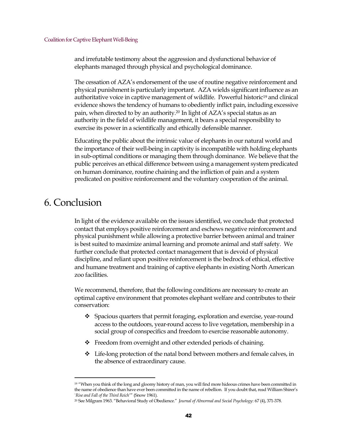and irrefutable testimony about the aggression and dysfunctional behavior of elephants managed through physical and psychological dominance.

The cessation of AZA's endorsement of the use of routine negative reinforcement and physical punishment is particularly important. AZA wields significant influence as an authoritative voice in captive management of wildlife. Powerful historic[19](#page-41-1) and clinical evidence shows the tendency of humans to obediently inflict pain, including excessive pain, when directed to by an authority.[20](#page-41-2) In light of AZA's special status as an authority in the field of wildlife management, it bears a special responsibility to exercise its power in a scientifically and ethically defensible manner.

Educating the public about the intrinsic value of elephants in our natural world and the importance of their well-being in captivity is incompatible with holding elephants in sub-optimal conditions or managing them through dominance. We believe that the public perceives an ethical difference between using a management system predicated on human dominance, routine chaining and the infliction of pain and a system predicated on positive reinforcement and the voluntary cooperation of the animal.

## <span id="page-41-0"></span>6. Conclusion

In light of the evidence available on the issues identified, we conclude that protected contact that employs positive reinforcement and eschews negative reinforcement and physical punishment while allowing a protective barrier between animal and trainer is best suited to maximize animal learning and promote animal and staff safety. We further conclude that protected contact management that is devoid of physical discipline, and reliant upon positive reinforcement is the bedrock of ethical, effective and humane treatment and training of captive elephants in existing North American zoo facilities.

We recommend, therefore, that the following conditions are necessary to create an optimal captive environment that promotes elephant welfare and contributes to their conservation:

- $\div$  Spacious quarters that permit foraging, exploration and exercise, year-round access to the outdoors, year-round access to live vegetation, membership in a social group of conspecifics and freedom to exercise reasonable autonomy.
- ◆ Freedom from overnight and other extended periods of chaining.
- Life-long protection of the natal bond between mothers and female calves, in the absence of extraordinary cause.

<span id="page-41-1"></span><sup>&</sup>lt;sup>19</sup> "When you think of the long and gloomy history of man, you will find more hideous crimes have been committed in the name of obedience than have ever been committed in the name of rebellion. If you doubt that, read William Shirer's `*Rise and Fall of the Third Reich*'" (Snow 1961).

<span id="page-41-2"></span><sup>20</sup> See Milgram 1963. "Behavioral Study of Obedience." *Journal of Abnormal and Social Psychology*: 67 (4), 371-378.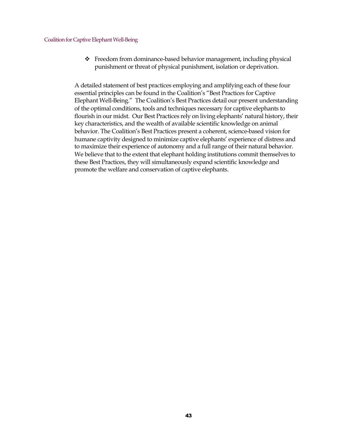Freedom from dominance-based behavior management, including physical punishment or threat of physical punishment, isolation or deprivation.

<span id="page-42-0"></span>A detailed statement of best practices employing and amplifying each of these four essential principles can be found in the Coalition's "Best Practices for Captive Elephant Well-Being." The Coalition's Best Practices detail our present understanding of the optimal conditions, tools and techniques necessary for captive elephants to flourish in our midst. Our Best Practices rely on living elephants' natural history, their key characteristics, and the wealth of available scientific knowledge on animal behavior. The Coalition's Best Practices present a coherent, science-based vision for humane captivity designed to minimize captive elephants' experience of distress and to maximize their experience of autonomy and a full range of their natural behavior. We believe that to the extent that elephant holding institutions commit themselves to these Best Practices, they will simultaneously expand scientific knowledge and promote the welfare and conservation of captive elephants.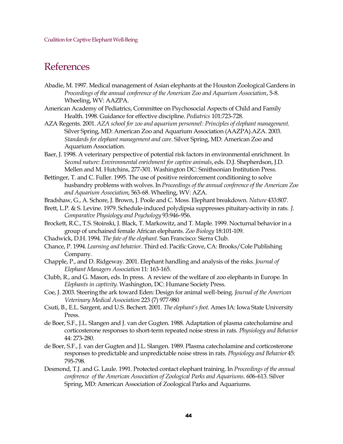## References

- Abadie, M. 1997. Medical management of Asian elephants at the Houston Zoological Gardens in *Proceedings of the annual conference of the American Zoo and Aquarium Association*, 5-8. Wheeling, WV: AAZPA.
- American Academy of Pediatrics, Committee on Psychosocial Aspects of Child and Family Health. 1998. Guidance for effective discipline. *Pediatrics* 101:723-728.
- AZA Regents. 2001. *AZA school for zoo and aquarium personnel*: *Principles of elephant management*. Silver Spring, MD: American Zoo and Aquarium Association (AAZPA).AZA. 2003. *Standards for elephant management and care*. Silver Spring, MD: American Zoo and Aquarium Association.
- Baer, J. 1998. A veterinary perspective of potential risk factors in environmental enrichment. In *Second nature: Environmental enrichment for captive animals*, eds. D.J. Shepherdson, J.D. Mellen and M. Hutchins, 277-301. Washington DC: Smithsonian Institution Press.
- Bettinger, T. and C. Fuller. 1995. The use of positive reinforcement conditioning to solve husbandry problems with wolves. In *Proceedings of the annual conference of the American Zoo and Aquarium Association*, 563-68. Wheeling, WV: AZA.
- Bradshaw, G., A. Schore, J. Brown, J. Poole and C. Moss. Elephant breakdown. *Nature* 433:807.
- Brett, L.P. & S. Levine. 1979. Schedule-induced polydipsia suppresses pituitary-activity in rats. *J. Comparative Physiology and Psychology* 93:946-956.
- Brockett, R.C., T.S. Stoinski, J. Black, T. Markowitz, and T. Maple. 1999. Nocturnal behavior in a group of unchained female African elephants. *Zoo Biology* 18:101-109.
- Chadwick, D.H. 1994. *The fate of the elephant*. San Francisco: Sierra Club.
- Chance, P. 1994. *Learning and behavior*. Third ed. Pacific Grove, CA: Brooks/Cole Publishing Company.
- Chapple, P., and D. Ridgeway. 2001. Elephant handling and analysis of the risks. *Journal of Elephant Managers Association* 11: 163-165.
- Clubb, R., and G. Mason, eds. In press. A review of the welfare of zoo elephants in Europe*.* In *Elephants in captivity*. Washington, DC: Humane Society Press.
- Coe, J. 2003. Steering the ark toward Eden: Design for animal well-being. *Journal of the American Veterinary Medical Association* 223 (7) 977-980
- Csuti, B., E.L. Sargent, and U.S. Bechert. 2001. *The elephant's foot.* Ames IA: Iowa State University Press.
- de Boer, S.F., J.L. Slangen and J. van der Gugten. 1988. Adaptation of plasma catecholamine and corticosterone responses to short-term repeated noise stress in rats. *Physiology and Behavior* 44: 273-280.
- de Boer, S.F., J. van der Gugten and J.L. Slangen. 1989. Plasma catecholamine and corticosterone responses to predictable and unpredictable noise stress in rats. *Physiology and Behavior* 45: 795-798.
- Desmond, T.J. and G. Laule. 1991. Protected contact elephant training. In *Proceedings of the annual conference of the American Association of Zoological Parks and Aquariums.* 606-613. Silver Spring, MD:American Association of Zoological Parks and Aquariums.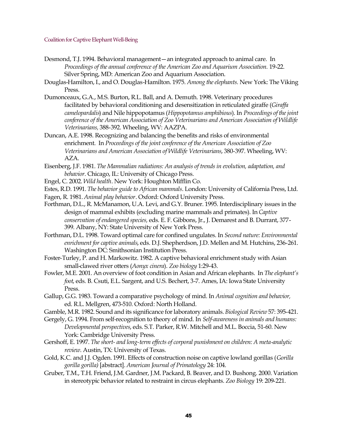- Desmond, T.J. 1994. Behavioral management—an integrated approach to animal care. In *Proceedings of the annual conference of the American Zoo and Aquarium Association.* 19-22. Silver Spring, MD: American Zoo and Aquarium Association.
- Douglas-Hamilton, I., and O. Douglas-Hamilton. 1975. *Among the elephants.* New York: The Viking Press.
- Dumonceaux, G.A., M.S. Burton, R.L. Ball, and A. Demuth. 1998. Veterinary procedures facilitated by behavioral conditioning and desensitization in reticulated giraffe (*Giraffa camelopardalis*) and Nile hippopotamus (*Hippopotamus amphibious*). In *Proceedings of the joint conference of the American Association of Zoo Veterinarians and American Association of Wildlife Veterinarians,* 388-392. Wheeling, WV: AAZPA.
- Duncan, A.E. 1998. Recognizing and balancing the benefits and risks of environmental enrichment. In *Proceedings of the joint conference of the American Association of Zoo Veterinarians and American Association of Wildlife Veterinarians*, 380-397. Wheeling, WV: AZA.
- Eisenberg, J.F. 1981. *The Mammalian radiations: An analysis of trends in evolution, adaptation, and behavior*. Chicago, IL: University of Chicago Press.
- Engel, C. 2002. *Wild health*. New York: Houghton Mifflin Co.
- Estes, R.D. 1991. *The behavior guide to African mammals*. London: University of California Press, Ltd.
- Fagen, R. 1981. *Animal play behavior*. Oxford: Oxford University Press.
- Forthman, D.L., R. McManamon, U.A. Levi, and G.Y. Bruner. 1995. Interdisciplinary issues in the design of mammal exhibits (excluding marine mammals and primates). In*Captive conservation of endangered species,* eds. E. F. Gibbons, Jr., J. Demarest and B. Durrant, 377- 399. Albany, NY: State University of New York Press.
- Forthman, D.L. 1998. Toward optimal care for confined ungulates. In *Second nature: Environmental enrichment for captive animals*, eds. D.J. Shepherdson, J.D. Mellen and M. Hutchins, 236-261. Washington DC: Smithsonian Institution Press.
- Foster-Turley, P. and H. Markowitz. 1982. A captive behavioral enrichment study with Asian small-clawed river otters (*Aonyx cinera*). *Zoo biology* 1:29-43.
- Fowler, M.E. 2001. An overview of foot condition in Asian and African elephants. In *The elephant's foot*, eds. B. Csuti, E.L. Sargent, and U.S. Bechert, 3-7. Ames, IA: Iowa State University Press.
- Gallup, G.G. 1983. Toward a comparative psychology of mind. In *Animal cognition and behavior,* ed. R.L. Mellgren, 473-510. Oxford: North Holland.
- Gamble, M.R. 1982. Sound and its significance for laboratory animals. *Biological Review* 57: 395-421.
- Gergely, G. 1994. From self-recognition to theory of mind. In *Self-awareness in animals and humans: Developmental perspectives*, eds. S.T. Parker, R.W. Mitchell and M.L. Boccia, 51-60. New York: Cambridge University Press.
- Gershoff, E. 1997. *The short- and long-term effects of corporal punishment on children: A meta-analytic review*. Austin, TX: University of Texas.
- Gold, K.C. and J.J. Ogden. 1991. Effects of construction noise on captive lowland gorillas (*Gorilla gorilla gorilla)* [abstract]. *American Journal of Primatology* 24: 104.
- Gruber, T.M., T.H. Friend, J.M. Gardner, J.M. Packard, B. Beaver, and D. Bushong. 2000. Variation in stereotypic behavior related to restraint in circus elephants. *Zoo Biology* 19: 209-221.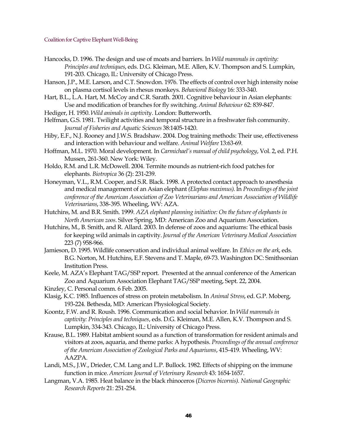- Hancocks, D. 1996. The design and use of moats and barriers. In *Wild mammals in captivity: Principles and techniques*, eds. D.G. Kleiman, M.E. Allen, K.V. Thompson and S. Lumpkin, 191-203. Chicago, IL: University of Chicago Press.
- Hanson, J.P., M.E. Larson, and C.T. Snowdon. 1976. The effects of control over high intensity noise on plasma cortisol levels in rhesus monkeys. *Behavioral Biology* 16: 333-340.
- Hart, B.L., L.A. Hart, M. McCoy and C.R. Sarath. 2001. Cognitive behaviour in Asian elephants: Use and modification of branches for fly switching. *Animal Behaviour* 62: 839-847.
- Hediger, H. 1950.*Wild animals in captivity*. London: Butterworth.
- Helfman, G.S. 1981. Twilight activities and temporal structure in a freshwater fish community. *Journal of Fisheries and Aquatic Sciences* 38:1405-1420.
- Hiby, E.F., N.J. Rooney and J.W.S. Bradshaw. 2004. Dog training methods: Their use, effectiveness and interaction with behaviour and welfare. *Animal Welfare* 13:63-69.
- Hoffman, M.L. 1970. Moral development. In *Carmichael's manual of child psychology*, Vol. 2, ed. P.H. Mussen, 261-360. New York: Wiley.
- Holdo, R.M. and L.R. McDowell. 2004. Termite mounds as nutrient-rich food patches for elephants. *Biotropica* 36 (2): 231-239.
- Honeyman, V.L., R.M. Cooper, and S.R. Black. 1998. A protected contact approach to anesthesia and medical management of an Asian elephant *(Elephas maximus)*. In *Proceedings of the joint conference of the American Association of Zoo Veterinarians and American Association of Wildlife Veterinarians*, 338-395. Wheeling, WV: AZA.
- Hutchins, M. and B.R. Smith. 1999. *AZA elephant planning initiative: On the future of elephants in North American zoos*. Silver Spring, MD: American Zoo and Aquarium Association.
- Hutchins, M., B. Smith, and R. Allard. 2003. In defense of zoos and aquariums: The ethical basis for keeping wild animals in captivity.*Journal of the American Veterinary Medical Association* 223 (7) 958-966.
- Jamieson, D. 1995. Wildlife conservation and individual animal welfare. In *Ethics on the ark*, eds. B.G. Norton, M. Hutchins, E.F. Stevens and T. Maple, 69-73. Washington DC: Smithsonian Institution Press.
- Keele, M. AZA's Elephant TAG/SSP report. Presented at the annual conference of the American Zoo and Aquarium Association Elephant TAG/SSP meeting, Sept. 22, 2004.
- Kinzley, C. Personal comm. 6 Feb. 2005.
- Klasig, K.C. 1985. Influences of stress on protein metabolism. In *Animal Stress*, ed. G.P. Moberg, 193-224. Bethesda, MD: American Physiological Society.
- Koontz, F.W. and R. Roush. 1996. Communication and social behavior. In *Wild mammals in captivity: Principles and techniques*, eds. D.G. Kleiman, M.E. Allen, K.V. Thompson and S. Lumpkin, 334-343. Chicago, IL: University of Chicago Press.
- Krause, B.L. 1989. Habitat ambient sound as a function of transformation for resident animals and visitors at zoos, aquaria, and theme parks: A hypothesis. *Proceedings of the annual conference of the American Association of Zoological Parks and Aquariums*, 415-419. Wheeling, WV: AAZPA.
- Landi, M.S., J.W., Drieder, C.M. Lang and L.P. Bullock. 1982. Effects of shipping on the immune function in mice. *American Journal of Veterinary Research* 43: 1654-1657.
- Langman, V.A. 1985. Heat balance in the black rhinoceros (*Diceros bicornis). National Geographic Research Reports* 21: 251-254.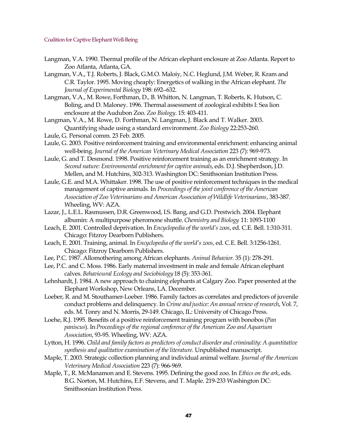- Langman, V.A. 1990. Thermal profile of the African elephant enclosure at Zoo Atlanta. Report to Zoo Atlanta, Atlanta, GA.
- Langman, V.A., T.J. Roberts, J. Black, G.M.O. Maloiy, N.C. Heglund, J.M. Weber, R. Kram and C.R. Taylor. 1995. Moving cheaply: Energetics of walking in the African elephant. *The Journal of Experimental Biology* 198: 692--632.
- Langman, V.A., M. Rowe, Forthman, D., B. Whitton, N. Langman, T. Roberts, K. Hutson, C. Boling, and D. Maloney. 1996. Thermal assessment of zoological exhibits I: Sea lion enclosure at the Audubon Zoo. *Zoo Biology*. 15: 403-411.

Langman, V.A., M. Rowe, D. Forthman, N. Langman, J. Black and T. Walker. 2003. Quantifying shade using a standard environment. *Zoo Biology* 22:253-260.

- Laule, G. Personal comm. 23 Feb. 2005.
- Laule, G. 2003. Positive reinforcement training and environmental enrichment: enhancing animal well-being. *Journal of the American Veterinary Medical Association* 223 (7): 969-973.
- Laule, G. and T. Desmond. 1998. Positive reinforcement training as an enrichment strategy. In *Second nature: Environmental enrichment for captive animals*, eds. D.J. Shepherdson, J.D. Mellen, and M. Hutchins, 302-313. Washington DC: Smithsonian Institution Press.
- Laule, G.E. and M.A. Whittaker. 1998. The use of positive reinforcement techniques in the medical management of captive animals. In *Proceedings of the joint conference of the American Association of Zoo Veterinarians and American Association of Wildlife Veterinarians*, 383-387. Wheeling, WV: AZA.
- Lazar, J., L.E.L. Rasmussen, D.R. Greenwood, I.S. Bang, and G.D. Prestwich. 2004. Elephant albumin: A multipurpose pheromone shuttle.*Chemistry and Biology* 11: 1093-1100
- Leach, E. 2001. Controlled deprivation. In *Encyclopedia of the world's zoos*, ed. C.E. Bell. 1:310-311. Chicago: Fitzroy Dearborn Publishers.
- Leach, E. 2001. Training, animal. In *Encyclopedia of the world's zoos*, ed. C.E. Bell. 3:1256-1261. Chicago: Fitzroy Dearborn Publishers.
- Lee, P.C. 1987. Allomothering among African elephants. *Animal Behavior*. 35 (1): 278-291.
- Lee, P.C. and C. Moss. 1986. Early maternal investment in male and female African elephant calves. *Behavioural Ecology and Sociobiology* 18 (5): 353-361.
- Lehnhardt, J. 1984. A new approach to chaining elephants at Calgary Zoo. Paper presented at the Elephant Workshop, New Orleans, LA. December.
- Loeber, R. and M. Stouthamer-Loeber. 1986. Family factors as correlates and predictors of juvenile conduct problems and delinquency. In *Crime andjustice: An annual review of research*, Vol. 7, eds. M. Tonry and N. Morris, 29-149. Chicago, IL: University of Chicago Press.
- Loehe, R.J. 1995. Benefits of a positive reinforcement training program with bonobos (*Pan paniscus*). In*Proceedings of the regional conference of the American Zoo and Aquarium Association*, 93-95. Wheeling, WV: AZA.
- Lytton, H. 1996. *Child and family factors as predictors of conduct disorder and criminality: A quantitative synthesis and qualitative examination of the literature.* Unpublished manuscript.
- Maple, T. 2003. Strategic collection planning and individual animal welfare. *Journal of the American Veterinary Medical Association* 223 (7): 966-969.
- Maple, T., R. McManamon and E. Stevens. 1995. Defining the good zoo. In *Ethics on the ark*, eds. B.G. Norton, M. Hutchins, E.F. Stevens, and T. Maple. 219-233 Washington DC: Smithsonian Institution Press.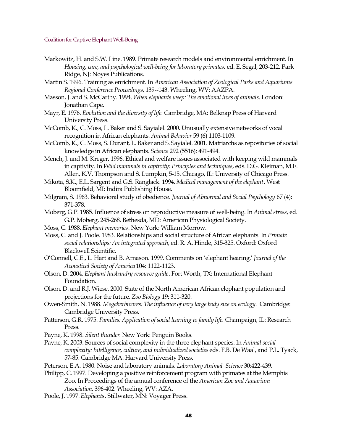- Markowitz, H. and S.W. Line. 1989. Primate research models and environmental enrichment. In *Housing, care, and psychological well-being for laboratory primates.* ed. E. Segal, 203-212. Park Ridge, NJ: Noyes Publications.
- Martin S. 1996. Training as enrichment. In *American Association of Zoological Parks and Aquariums Regional Conference Proceedings*, 139--143. Wheeling, WV: AAZPA.
- Masson, J. and S. McCarthy. 1994. *When elephants weep: The emotional lives of animals.* London: Jonathan Cape.
- Mayr, E. 1976. *Evolution and the diversity of life*. Cambridge, MA: Belknap Press of Harvard University Press.
- McComb, K., C. Moss, L. Baker and S. Sayialel. 2000. Unusually extensive networks of vocal recognition in African elephants. *Animal Behavior* 59 (6) 1103-1109.
- McComb, K., C. Moss, S. Durant, L. Baker and S. Sayialel. 2001. Matriarchs as repositories of social knowledge in African elephants. *Science* 292 (5516): 491-494.
- Mench, J. and M. Kreger. 1996. Ethical and welfare issues associated with keeping wild mammals in captivity. In *Wild mammals in captivity: Principles and techniques*, eds. D.G. Kleiman, M.E. Allen, K.V. Thompson and S. Lumpkin, 5-15. Chicago, IL: University of Chicago Press.
- Mikota, S.K., E.L. Sargent and G.S. Ranglack. 1994. *Medical management of the elephant*. West Bloomfield, MI: Indira Publishing House.
- Milgram, S. 1963. Behavioral study of obedience. *Journal of Abnormal and Social Psychology* 67 (4): 371-378.
- Moberg, G.P. 1985. Influence of stress on reproductive measure of well-being. In *Animal stress*, ed. G.P. Moberg, 245-268. Bethesda, MD: American Physiological Society.
- Moss, C. 1988. *Elephant memories*. New York: William Morrow.
- Moss, C. and J. Poole. 1983. Relationships and social structure of African elephants. In *Primate social relationships: An integrated approach*, ed. R. A. Hinde, 315-325. Oxford: Oxford Blackwell Scientific.
- O'Connell, C.E., L. Hart and B. Arnason. 1999. Comments on 'elephant hearing.' *Journal of the Acoustical Society of America* 104: 1122-1123.
- Olson, D. 2004. *Elephant husbandry resource guide*. Fort Worth, TX: International Elephant Foundation.
- Olson, D. and R.J. Wiese. 2000. State of the North American African elephant population and projections for the future. *Zoo Biology* 19: 311-320.
- Owen-Smith, N. 1988. *Megaherbivores: The influence of very large body size on ecology*. Cambridge: Cambridge University Press.
- Patterson, G.R. 1975. *Families: Application of social learning to family life.* Champaign, IL: Research Press.
- Payne, K. 1998. *Silent thunder*. New York: Penguin Books.
- Payne, K. 2003. Sources of social complexity in the three elephant species. In *Animal social complexity: Intelligence, culture, and individualized societies* eds. F.B. De Waal, and P.L. Tyack, 57-85. Cambridge MA: Harvard University Press.
- Peterson, E.A. 1980. Noise and laboratory animals. *Laboratory Animal Science* 30:422-439.
- Philipp, C. 1997. Developing a positive reinforcement program with primates at the Memphis Zoo. In Proceedings of the annual conference of the *American Zoo and Aquarium Association*, 396-402. Wheeling, WV: AZA.
- Poole, J. 1997.*Elephants*. Stillwater, MN: Voyager Press.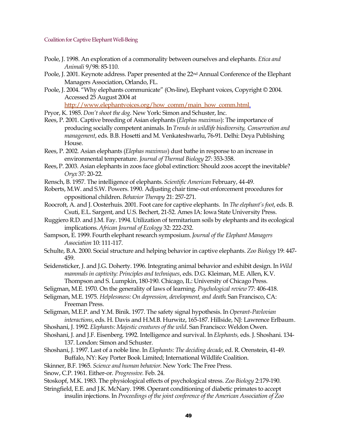- Poole, J. 1998. An exploration of a commonality between ourselves and elephants. *Etica and Animali* 9/98: 85-110.
- Poole, J. 2001. Keynote address. Paper presented at the 22<sup>nd</sup> Annual Conference of the Elephant Managers Association, Orlando, FL.
- Poole, J. 2004. "Why elephants communicate" (On-line), Elephant voices, Copyright © 2004. Accessed 25 August 2004 at

[http://www.elephantvoices.org/how\\_comm/main\\_how\\_comm.html.](http://www.elephantvoices.org/how_comm/main_how_comm.html)

- Pryor, K. 1985. *Don't shoot the dog*. New York: Simon and Schuster, Inc.
- Rees, P. 2001. Captive breeding of Asian elephants (*Elephas maximus*): The importance of producing socially competent animals. In *Trends in wildlife biodiversity, Conservation and management*, eds. B.B. Hosetti and M. Venkateshwarlu, 76-91. Delhi: Deya Publishing House.
- Rees, P. 2002. Asian elephants (*Elephas maximus*) dust bathe in response to an increase in environmental temperature. *Journal of Thermal Biology* 27: 353-358.
- Rees,P. 2003. Asian elephants in zoos face global extinction: Should zoos accept the inevitable? *Oryx* 37: 20-22.
- Rensch, B. 1957. The intelligence of elephants. *Scientific American* February, 44-49.
- Roberts, M.W. and S.W. Powers. 1990. Adjusting chair time-out enforcement procedures for oppositional children. *Behavior Therapy* 21: 257-271.
- Roocroft, A. and J. Oosterhuis. 2001. Foot care for captive elephants. In *The elephant's foot*, eds. B. Csuti, E.L. Sargent, and U.S. Bechert, 21-52. Ames IA: Iowa State University Press.
- Ruggiero R.D. and J.M. Fay. 1994. Utilization of termitarium soils by elephants and its ecological implications. *African Journal of Ecology* 32: 222-232.
- Sampson, E. 1999. Fourth elephant research symposium.*Journal of the Elephant Managers Association* 10: 111-117.
- Schulte, B.A. 2000. Social structure and helping behavior in captive elephants. *Zoo Biology* 19: 447- 459.
- Seidensticker, J. and J.G. Doherty. 1996. Integrating animal behavior and exhibit design. In *Wild mammals in captivity: Principles and techniques*, eds. D.G. Kleiman, M.E. Allen, K.V. Thompson and S. Lumpkin, 180-190. Chicago, IL: University of Chicago Press.

Seligman, M.E. 1970. On the generality of laws of learning. *Psychological review* 77: 406-418.

- Seligman, M.E. 1975. *Helplessness: On depression, development, and death*. San Francisco, CA: Freeman Press.
- Seligman, M.E.P. and Y.M. Binik. 1977. The safety signal hypothesis. In *Operant-Pavlovian interactions*, eds. H. Davis and H.M.B. Hurwitz, 165-187. Hillside, NJ: Lawrence Erlbaum.
- Shoshani, J. 1992. *Elephants: Majestic creatures of the wild*. San Francisco: Weldon Owen.
- Shoshani, J. and J.F. Eisenberg. 1992. Intelligence and survival. In *Elephants,* eds. J. Shoshani. 134- 137. London: Simon and Schuster.
- Shoshani, J. 1997. Last of a noble line. In *Elephants: The deciding decade*, ed. R. Orenstein, 41-49. Buffalo, NY: Key Porter Book Limited; International Wildlife Coalition.

Skinner, B.F. 1965. *Science and human behavior*. New York: The Free Press.

Snow, C.P. 1961. Either-or. *Progressive.* Feb. 24.

Stoskopf, M.K. 1983. The physiological effects of psychological stress. *Zoo Biology* 2:179-190.

Stringfield, E.E. and J.K. McNary. 1998. Operant conditioning of diabetic primates to accept insulin injections. In *Proceedings of the joint conference of the American Association of Zoo*